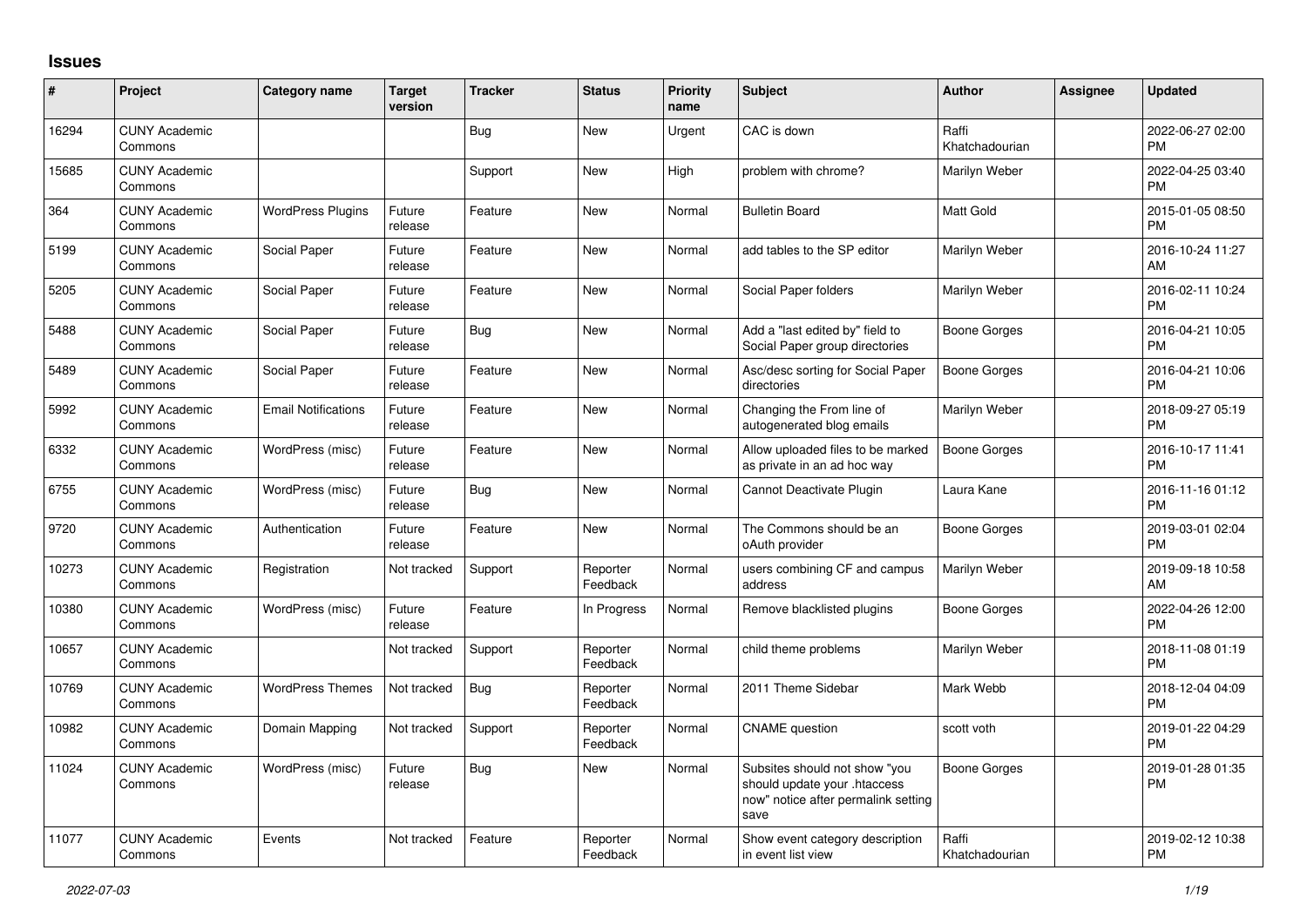## **Issues**

| #     | Project                         | Category name              | <b>Target</b><br>version | <b>Tracker</b> | <b>Status</b>        | <b>Priority</b><br>name | <b>Subject</b>                                                                                               | <b>Author</b>           | <b>Assignee</b> | <b>Updated</b>                |
|-------|---------------------------------|----------------------------|--------------------------|----------------|----------------------|-------------------------|--------------------------------------------------------------------------------------------------------------|-------------------------|-----------------|-------------------------------|
| 16294 | <b>CUNY Academic</b><br>Commons |                            |                          | Bug            | New                  | Urgent                  | CAC is down                                                                                                  | Raffi<br>Khatchadourian |                 | 2022-06-27 02:00<br><b>PM</b> |
| 15685 | <b>CUNY Academic</b><br>Commons |                            |                          | Support        | New                  | High                    | problem with chrome?                                                                                         | Marilyn Weber           |                 | 2022-04-25 03:40<br><b>PM</b> |
| 364   | <b>CUNY Academic</b><br>Commons | <b>WordPress Plugins</b>   | Future<br>release        | Feature        | <b>New</b>           | Normal                  | <b>Bulletin Board</b>                                                                                        | <b>Matt Gold</b>        |                 | 2015-01-05 08:50<br><b>PM</b> |
| 5199  | <b>CUNY Academic</b><br>Commons | Social Paper               | Future<br>release        | Feature        | <b>New</b>           | Normal                  | add tables to the SP editor                                                                                  | Marilyn Weber           |                 | 2016-10-24 11:27<br>AM        |
| 5205  | <b>CUNY Academic</b><br>Commons | Social Paper               | Future<br>release        | Feature        | <b>New</b>           | Normal                  | Social Paper folders                                                                                         | Marilyn Weber           |                 | 2016-02-11 10:24<br><b>PM</b> |
| 5488  | <b>CUNY Academic</b><br>Commons | Social Paper               | Future<br>release        | Bug            | New                  | Normal                  | Add a "last edited by" field to<br>Social Paper group directories                                            | Boone Gorges            |                 | 2016-04-21 10:05<br><b>PM</b> |
| 5489  | <b>CUNY Academic</b><br>Commons | Social Paper               | Future<br>release        | Feature        | New                  | Normal                  | Asc/desc sorting for Social Paper<br>directories                                                             | Boone Gorges            |                 | 2016-04-21 10:06<br><b>PM</b> |
| 5992  | <b>CUNY Academic</b><br>Commons | <b>Email Notifications</b> | Future<br>release        | Feature        | New                  | Normal                  | Changing the From line of<br>autogenerated blog emails                                                       | Marilyn Weber           |                 | 2018-09-27 05:19<br><b>PM</b> |
| 6332  | <b>CUNY Academic</b><br>Commons | WordPress (misc)           | Future<br>release        | Feature        | New                  | Normal                  | Allow uploaded files to be marked<br>as private in an ad hoc way                                             | Boone Gorges            |                 | 2016-10-17 11:41<br><b>PM</b> |
| 6755  | <b>CUNY Academic</b><br>Commons | WordPress (misc)           | Future<br>release        | Bug            | <b>New</b>           | Normal                  | Cannot Deactivate Plugin                                                                                     | Laura Kane              |                 | 2016-11-16 01:12<br><b>PM</b> |
| 9720  | <b>CUNY Academic</b><br>Commons | Authentication             | Future<br>release        | Feature        | <b>New</b>           | Normal                  | The Commons should be an<br>oAuth provider                                                                   | Boone Gorges            |                 | 2019-03-01 02:04<br><b>PM</b> |
| 10273 | <b>CUNY Academic</b><br>Commons | Registration               | Not tracked              | Support        | Reporter<br>Feedback | Normal                  | users combining CF and campus<br>address                                                                     | Marilyn Weber           |                 | 2019-09-18 10:58<br>AM        |
| 10380 | <b>CUNY Academic</b><br>Commons | WordPress (misc)           | Future<br>release        | Feature        | In Progress          | Normal                  | Remove blacklisted plugins                                                                                   | Boone Gorges            |                 | 2022-04-26 12:00<br>PM        |
| 10657 | <b>CUNY Academic</b><br>Commons |                            | Not tracked              | Support        | Reporter<br>Feedback | Normal                  | child theme problems                                                                                         | Marilyn Weber           |                 | 2018-11-08 01:19<br><b>PM</b> |
| 10769 | <b>CUNY Academic</b><br>Commons | <b>WordPress Themes</b>    | Not tracked              | Bug            | Reporter<br>Feedback | Normal                  | 2011 Theme Sidebar                                                                                           | Mark Webb               |                 | 2018-12-04 04:09<br><b>PM</b> |
| 10982 | <b>CUNY Academic</b><br>Commons | Domain Mapping             | Not tracked              | Support        | Reporter<br>Feedback | Normal                  | <b>CNAME</b> question                                                                                        | scott voth              |                 | 2019-01-22 04:29<br><b>PM</b> |
| 11024 | <b>CUNY Academic</b><br>Commons | WordPress (misc)           | Future<br>release        | Bug            | New                  | Normal                  | Subsites should not show "you<br>should update your .htaccess<br>now" notice after permalink setting<br>save | Boone Gorges            |                 | 2019-01-28 01:35<br>PM        |
| 11077 | <b>CUNY Academic</b><br>Commons | Events                     | Not tracked              | Feature        | Reporter<br>Feedback | Normal                  | Show event category description<br>in event list view                                                        | Raffi<br>Khatchadourian |                 | 2019-02-12 10:38<br><b>PM</b> |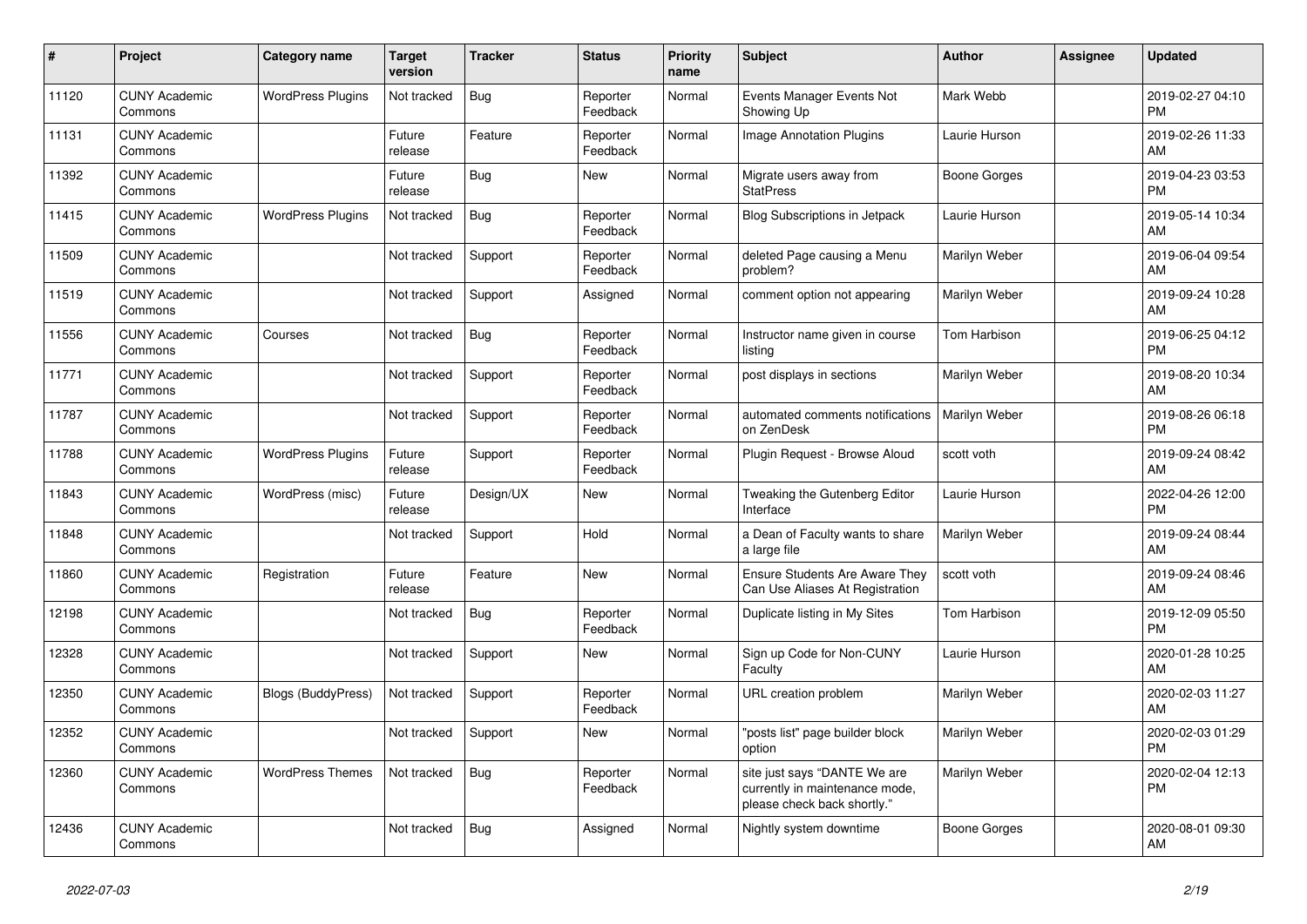| #     | <b>Project</b>                  | <b>Category name</b>     | <b>Target</b><br>version | <b>Tracker</b> | <b>Status</b>        | <b>Priority</b><br>name | <b>Subject</b>                                                                                | <b>Author</b> | <b>Assignee</b> | <b>Updated</b>                |
|-------|---------------------------------|--------------------------|--------------------------|----------------|----------------------|-------------------------|-----------------------------------------------------------------------------------------------|---------------|-----------------|-------------------------------|
| 11120 | <b>CUNY Academic</b><br>Commons | <b>WordPress Plugins</b> | Not tracked              | Bug            | Reporter<br>Feedback | Normal                  | Events Manager Events Not<br>Showing Up                                                       | Mark Webb     |                 | 2019-02-27 04:10<br><b>PM</b> |
| 11131 | <b>CUNY Academic</b><br>Commons |                          | Future<br>release        | Feature        | Reporter<br>Feedback | Normal                  | Image Annotation Plugins                                                                      | Laurie Hurson |                 | 2019-02-26 11:33<br>AM        |
| 11392 | <b>CUNY Academic</b><br>Commons |                          | Future<br>release        | Bug            | New                  | Normal                  | Migrate users away from<br><b>StatPress</b>                                                   | Boone Gorges  |                 | 2019-04-23 03:53<br><b>PM</b> |
| 11415 | <b>CUNY Academic</b><br>Commons | <b>WordPress Plugins</b> | Not tracked              | Bug            | Reporter<br>Feedback | Normal                  | <b>Blog Subscriptions in Jetpack</b>                                                          | Laurie Hurson |                 | 2019-05-14 10:34<br>AM        |
| 11509 | <b>CUNY Academic</b><br>Commons |                          | Not tracked              | Support        | Reporter<br>Feedback | Normal                  | deleted Page causing a Menu<br>problem?                                                       | Marilyn Weber |                 | 2019-06-04 09:54<br>AM        |
| 11519 | <b>CUNY Academic</b><br>Commons |                          | Not tracked              | Support        | Assigned             | Normal                  | comment option not appearing                                                                  | Marilyn Weber |                 | 2019-09-24 10:28<br>AM        |
| 11556 | <b>CUNY Academic</b><br>Commons | Courses                  | Not tracked              | Bug            | Reporter<br>Feedback | Normal                  | Instructor name given in course<br>listing                                                    | Tom Harbison  |                 | 2019-06-25 04:12<br><b>PM</b> |
| 11771 | <b>CUNY Academic</b><br>Commons |                          | Not tracked              | Support        | Reporter<br>Feedback | Normal                  | post displays in sections                                                                     | Marilyn Weber |                 | 2019-08-20 10:34<br>AM        |
| 11787 | <b>CUNY Academic</b><br>Commons |                          | Not tracked              | Support        | Reporter<br>Feedback | Normal                  | automated comments notifications<br>on ZenDesk                                                | Marilyn Weber |                 | 2019-08-26 06:18<br><b>PM</b> |
| 11788 | <b>CUNY Academic</b><br>Commons | <b>WordPress Plugins</b> | Future<br>release        | Support        | Reporter<br>Feedback | Normal                  | Plugin Request - Browse Aloud                                                                 | scott voth    |                 | 2019-09-24 08:42<br>AM        |
| 11843 | <b>CUNY Academic</b><br>Commons | WordPress (misc)         | Future<br>release        | Design/UX      | <b>New</b>           | Normal                  | Tweaking the Gutenberg Editor<br>Interface                                                    | Laurie Hurson |                 | 2022-04-26 12:00<br><b>PM</b> |
| 11848 | <b>CUNY Academic</b><br>Commons |                          | Not tracked              | Support        | Hold                 | Normal                  | a Dean of Faculty wants to share<br>a large file                                              | Marilyn Weber |                 | 2019-09-24 08:44<br>AM        |
| 11860 | <b>CUNY Academic</b><br>Commons | Registration             | Future<br>release        | Feature        | <b>New</b>           | Normal                  | <b>Ensure Students Are Aware They</b><br>Can Use Aliases At Registration                      | scott voth    |                 | 2019-09-24 08:46<br>AM        |
| 12198 | <b>CUNY Academic</b><br>Commons |                          | Not tracked              | Bug            | Reporter<br>Feedback | Normal                  | Duplicate listing in My Sites                                                                 | Tom Harbison  |                 | 2019-12-09 05:50<br><b>PM</b> |
| 12328 | <b>CUNY Academic</b><br>Commons |                          | Not tracked              | Support        | New                  | Normal                  | Sign up Code for Non-CUNY<br>Faculty                                                          | Laurie Hurson |                 | 2020-01-28 10:25<br>AM        |
| 12350 | <b>CUNY Academic</b><br>Commons | Blogs (BuddyPress)       | Not tracked              | Support        | Reporter<br>Feedback | Normal                  | URL creation problem                                                                          | Marilyn Weber |                 | 2020-02-03 11:27<br>AM        |
| 12352 | <b>CUNY Academic</b><br>Commons |                          | Not tracked              | Support        | <b>New</b>           | Normal                  | "posts list" page builder block<br>option                                                     | Marilyn Weber |                 | 2020-02-03 01:29<br><b>PM</b> |
| 12360 | <b>CUNY Academic</b><br>Commons | <b>WordPress Themes</b>  | Not tracked              | Bug            | Reporter<br>Feedback | Normal                  | site just says "DANTE We are<br>currently in maintenance mode,<br>please check back shortly." | Marilyn Weber |                 | 2020-02-04 12:13<br><b>PM</b> |
| 12436 | <b>CUNY Academic</b><br>Commons |                          | Not tracked              | <b>Bug</b>     | Assigned             | Normal                  | Nightly system downtime                                                                       | Boone Gorges  |                 | 2020-08-01 09:30<br>AM        |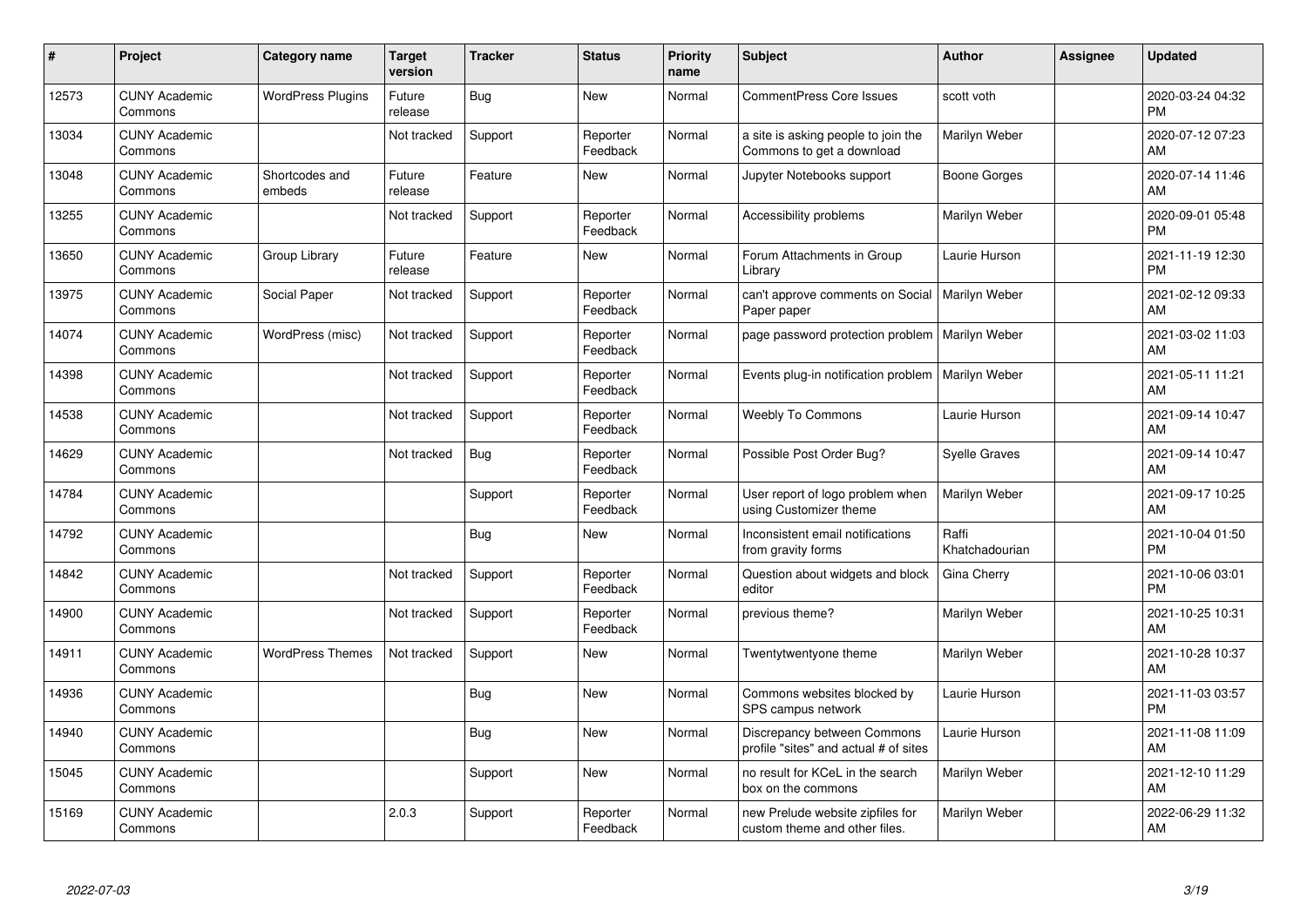| #     | Project                         | <b>Category name</b>     | Target<br>version | <b>Tracker</b> | <b>Status</b>        | <b>Priority</b><br>name | <b>Subject</b>                                                       | <b>Author</b>           | <b>Assignee</b> | <b>Updated</b>                |
|-------|---------------------------------|--------------------------|-------------------|----------------|----------------------|-------------------------|----------------------------------------------------------------------|-------------------------|-----------------|-------------------------------|
| 12573 | <b>CUNY Academic</b><br>Commons | <b>WordPress Plugins</b> | Future<br>release | Bug            | <b>New</b>           | Normal                  | <b>CommentPress Core Issues</b>                                      | scott voth              |                 | 2020-03-24 04:32<br><b>PM</b> |
| 13034 | <b>CUNY Academic</b><br>Commons |                          | Not tracked       | Support        | Reporter<br>Feedback | Normal                  | a site is asking people to join the<br>Commons to get a download     | Marilyn Weber           |                 | 2020-07-12 07:23<br>AM        |
| 13048 | <b>CUNY Academic</b><br>Commons | Shortcodes and<br>embeds | Future<br>release | Feature        | <b>New</b>           | Normal                  | Jupyter Notebooks support                                            | Boone Gorges            |                 | 2020-07-14 11:46<br>AM        |
| 13255 | <b>CUNY Academic</b><br>Commons |                          | Not tracked       | Support        | Reporter<br>Feedback | Normal                  | Accessibility problems                                               | Marilyn Weber           |                 | 2020-09-01 05:48<br><b>PM</b> |
| 13650 | <b>CUNY Academic</b><br>Commons | Group Library            | Future<br>release | Feature        | <b>New</b>           | Normal                  | Forum Attachments in Group<br>Library                                | Laurie Hurson           |                 | 2021-11-19 12:30<br><b>PM</b> |
| 13975 | <b>CUNY Academic</b><br>Commons | Social Paper             | Not tracked       | Support        | Reporter<br>Feedback | Normal                  | can't approve comments on Social<br>Paper paper                      | Marilyn Weber           |                 | 2021-02-12 09:33<br><b>AM</b> |
| 14074 | <b>CUNY Academic</b><br>Commons | WordPress (misc)         | Not tracked       | Support        | Reporter<br>Feedback | Normal                  | page password protection problem                                     | Marilyn Weber           |                 | 2021-03-02 11:03<br>AM        |
| 14398 | <b>CUNY Academic</b><br>Commons |                          | Not tracked       | Support        | Reporter<br>Feedback | Normal                  | Events plug-in notification problem                                  | Marilyn Weber           |                 | 2021-05-11 11:21<br>AM        |
| 14538 | <b>CUNY Academic</b><br>Commons |                          | Not tracked       | Support        | Reporter<br>Feedback | Normal                  | <b>Weebly To Commons</b>                                             | Laurie Hurson           |                 | 2021-09-14 10:47<br>AM        |
| 14629 | <b>CUNY Academic</b><br>Commons |                          | Not tracked       | Bug            | Reporter<br>Feedback | Normal                  | Possible Post Order Bug?                                             | <b>Syelle Graves</b>    |                 | 2021-09-14 10:47<br>AM        |
| 14784 | <b>CUNY Academic</b><br>Commons |                          |                   | Support        | Reporter<br>Feedback | Normal                  | User report of logo problem when<br>using Customizer theme           | Marilyn Weber           |                 | 2021-09-17 10:25<br>AM        |
| 14792 | <b>CUNY Academic</b><br>Commons |                          |                   | <b>Bug</b>     | New                  | Normal                  | Inconsistent email notifications<br>from gravity forms               | Raffi<br>Khatchadourian |                 | 2021-10-04 01:50<br><b>PM</b> |
| 14842 | <b>CUNY Academic</b><br>Commons |                          | Not tracked       | Support        | Reporter<br>Feedback | Normal                  | Question about widgets and block<br>editor                           | Gina Cherry             |                 | 2021-10-06 03:01<br><b>PM</b> |
| 14900 | <b>CUNY Academic</b><br>Commons |                          | Not tracked       | Support        | Reporter<br>Feedback | Normal                  | previous theme?                                                      | Marilyn Weber           |                 | 2021-10-25 10:31<br>AM        |
| 14911 | <b>CUNY Academic</b><br>Commons | <b>WordPress Themes</b>  | Not tracked       | Support        | <b>New</b>           | Normal                  | Twentytwentyone theme                                                | Marilyn Weber           |                 | 2021-10-28 10:37<br>AM        |
| 14936 | <b>CUNY Academic</b><br>Commons |                          |                   | Bug            | <b>New</b>           | Normal                  | Commons websites blocked by<br>SPS campus network                    | Laurie Hurson           |                 | 2021-11-03 03:57<br><b>PM</b> |
| 14940 | <b>CUNY Academic</b><br>Commons |                          |                   | Bug            | <b>New</b>           | Normal                  | Discrepancy between Commons<br>profile "sites" and actual # of sites | Laurie Hurson           |                 | 2021-11-08 11:09<br>AM        |
| 15045 | <b>CUNY Academic</b><br>Commons |                          |                   | Support        | <b>New</b>           | Normal                  | no result for KCeL in the search<br>box on the commons               | Marilyn Weber           |                 | 2021-12-10 11:29<br>AM        |
| 15169 | <b>CUNY Academic</b><br>Commons |                          | 2.0.3             | Support        | Reporter<br>Feedback | Normal                  | new Prelude website zipfiles for<br>custom theme and other files.    | Marilyn Weber           |                 | 2022-06-29 11:32<br>AM        |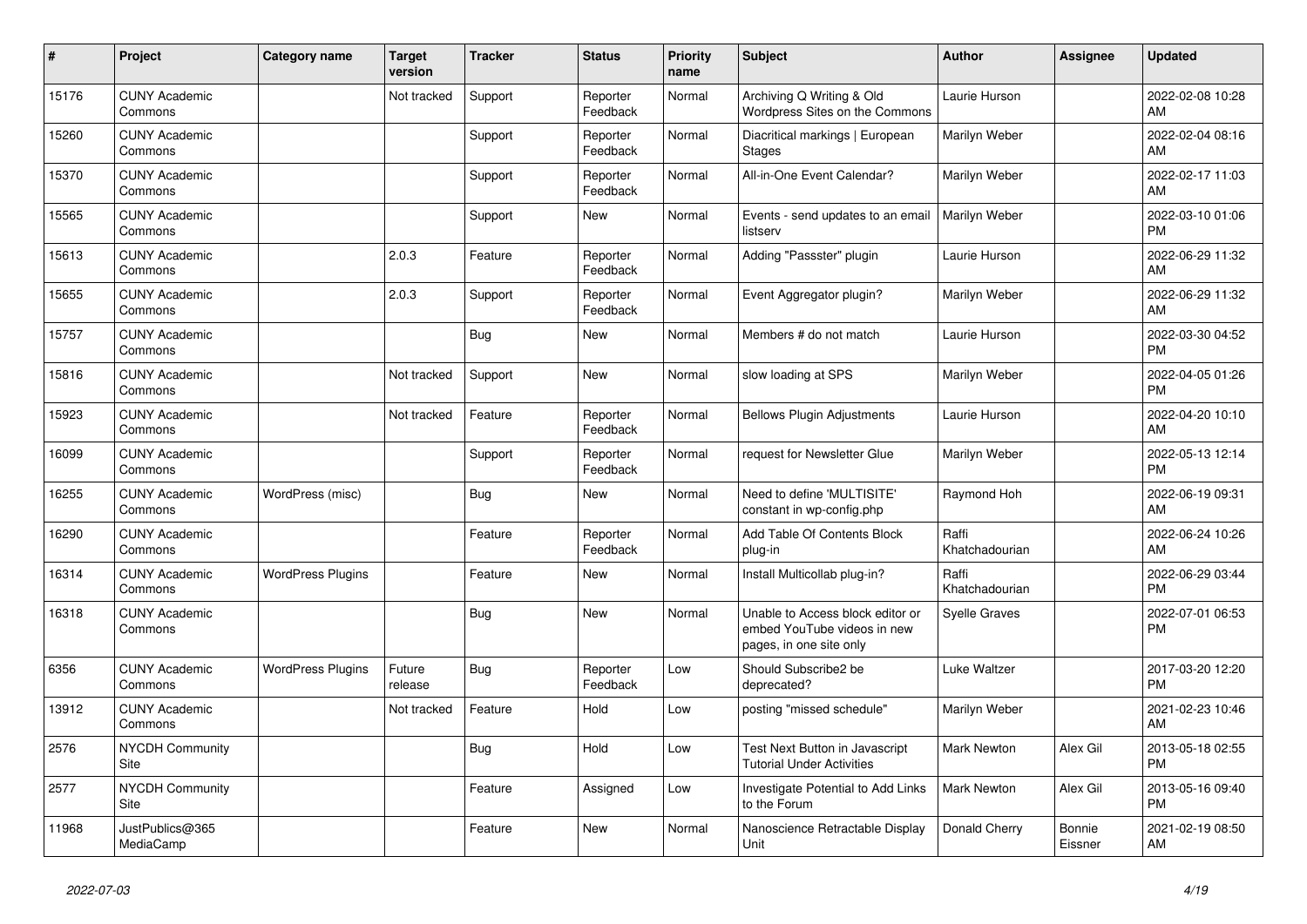| #     | Project                         | Category name            | <b>Target</b><br>version | <b>Tracker</b> | <b>Status</b>        | <b>Priority</b><br>name | <b>Subject</b>                                                                             | <b>Author</b>           | Assignee          | <b>Updated</b>                |
|-------|---------------------------------|--------------------------|--------------------------|----------------|----------------------|-------------------------|--------------------------------------------------------------------------------------------|-------------------------|-------------------|-------------------------------|
| 15176 | <b>CUNY Academic</b><br>Commons |                          | Not tracked              | Support        | Reporter<br>Feedback | Normal                  | Archiving Q Writing & Old<br>Wordpress Sites on the Commons                                | Laurie Hurson           |                   | 2022-02-08 10:28<br>AM        |
| 15260 | <b>CUNY Academic</b><br>Commons |                          |                          | Support        | Reporter<br>Feedback | Normal                  | Diacritical markings   European<br><b>Stages</b>                                           | Marilyn Weber           |                   | 2022-02-04 08:16<br>AM        |
| 15370 | <b>CUNY Academic</b><br>Commons |                          |                          | Support        | Reporter<br>Feedback | Normal                  | All-in-One Event Calendar?                                                                 | Marilyn Weber           |                   | 2022-02-17 11:03<br>AM        |
| 15565 | <b>CUNY Academic</b><br>Commons |                          |                          | Support        | <b>New</b>           | Normal                  | Events - send updates to an email<br>listserv                                              | Marilyn Weber           |                   | 2022-03-10 01:06<br><b>PM</b> |
| 15613 | <b>CUNY Academic</b><br>Commons |                          | 2.0.3                    | Feature        | Reporter<br>Feedback | Normal                  | Adding "Passster" plugin                                                                   | Laurie Hurson           |                   | 2022-06-29 11:32<br>AM        |
| 15655 | <b>CUNY Academic</b><br>Commons |                          | 2.0.3                    | Support        | Reporter<br>Feedback | Normal                  | Event Aggregator plugin?                                                                   | Marilyn Weber           |                   | 2022-06-29 11:32<br>AM        |
| 15757 | <b>CUNY Academic</b><br>Commons |                          |                          | Bug            | <b>New</b>           | Normal                  | Members # do not match                                                                     | Laurie Hurson           |                   | 2022-03-30 04:52<br><b>PM</b> |
| 15816 | <b>CUNY Academic</b><br>Commons |                          | Not tracked              | Support        | <b>New</b>           | Normal                  | slow loading at SPS                                                                        | Marilyn Weber           |                   | 2022-04-05 01:26<br><b>PM</b> |
| 15923 | <b>CUNY Academic</b><br>Commons |                          | Not tracked              | Feature        | Reporter<br>Feedback | Normal                  | <b>Bellows Plugin Adjustments</b>                                                          | Laurie Hurson           |                   | 2022-04-20 10:10<br>AM        |
| 16099 | <b>CUNY Academic</b><br>Commons |                          |                          | Support        | Reporter<br>Feedback | Normal                  | request for Newsletter Glue                                                                | Marilyn Weber           |                   | 2022-05-13 12:14<br><b>PM</b> |
| 16255 | <b>CUNY Academic</b><br>Commons | WordPress (misc)         |                          | Bug            | <b>New</b>           | Normal                  | Need to define 'MULTISITE'<br>constant in wp-config.php                                    | Raymond Hoh             |                   | 2022-06-19 09:31<br>AM        |
| 16290 | <b>CUNY Academic</b><br>Commons |                          |                          | Feature        | Reporter<br>Feedback | Normal                  | Add Table Of Contents Block<br>plug-in                                                     | Raffi<br>Khatchadourian |                   | 2022-06-24 10:26<br>AM        |
| 16314 | <b>CUNY Academic</b><br>Commons | <b>WordPress Plugins</b> |                          | Feature        | <b>New</b>           | Normal                  | Install Multicollab plug-in?                                                               | Raffi<br>Khatchadourian |                   | 2022-06-29 03:44<br><b>PM</b> |
| 16318 | <b>CUNY Academic</b><br>Commons |                          |                          | <b>Bug</b>     | <b>New</b>           | Normal                  | Unable to Access block editor or<br>embed YouTube videos in new<br>pages, in one site only | <b>Syelle Graves</b>    |                   | 2022-07-01 06:53<br><b>PM</b> |
| 6356  | <b>CUNY Academic</b><br>Commons | <b>WordPress Plugins</b> | Future<br>release        | Bug            | Reporter<br>Feedback | Low                     | Should Subscribe2 be<br>deprecated?                                                        | Luke Waltzer            |                   | 2017-03-20 12:20<br><b>PM</b> |
| 13912 | <b>CUNY Academic</b><br>Commons |                          | Not tracked              | Feature        | Hold                 | Low                     | posting "missed schedule"                                                                  | Marilyn Weber           |                   | 2021-02-23 10:46<br>AM        |
| 2576  | <b>NYCDH Community</b><br>Site  |                          |                          | Bug            | Hold                 | Low                     | Test Next Button in Javascript<br><b>Tutorial Under Activities</b>                         | <b>Mark Newton</b>      | Alex Gil          | 2013-05-18 02:55<br><b>PM</b> |
| 2577  | <b>NYCDH Community</b><br>Site  |                          |                          | Feature        | Assigned             | Low                     | Investigate Potential to Add Links<br>to the Forum                                         | <b>Mark Newton</b>      | Alex Gil          | 2013-05-16 09:40<br><b>PM</b> |
| 11968 | JustPublics@365<br>MediaCamp    |                          |                          | Feature        | <b>New</b>           | Normal                  | Nanoscience Retractable Display<br>Unit                                                    | Donald Cherry           | Bonnie<br>Eissner | 2021-02-19 08:50<br>AM        |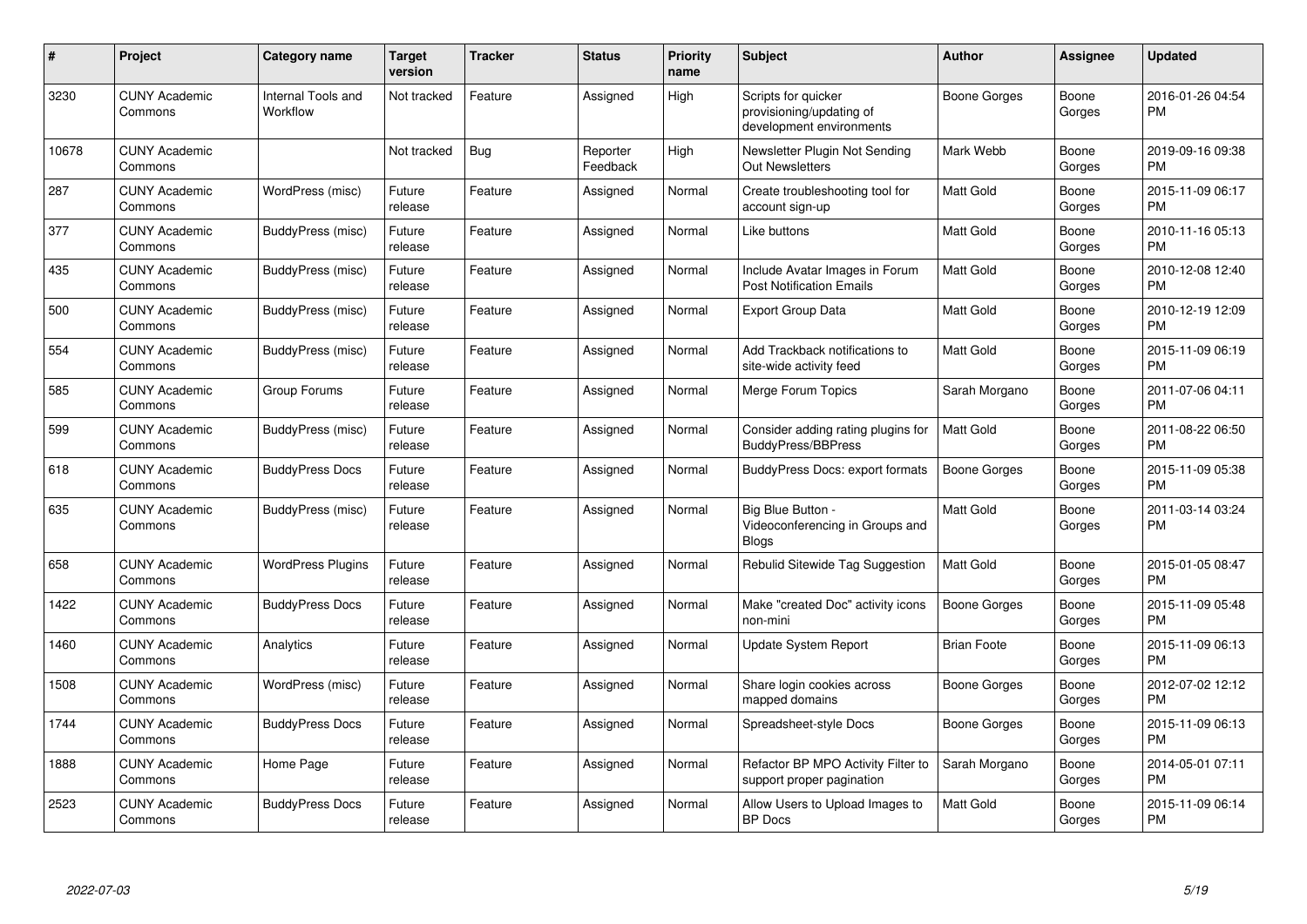| #     | Project                         | <b>Category name</b>           | <b>Target</b><br>version | <b>Tracker</b> | <b>Status</b>        | <b>Priority</b><br>name | <b>Subject</b>                                                              | <b>Author</b>       | <b>Assignee</b> | <b>Updated</b>                |
|-------|---------------------------------|--------------------------------|--------------------------|----------------|----------------------|-------------------------|-----------------------------------------------------------------------------|---------------------|-----------------|-------------------------------|
| 3230  | <b>CUNY Academic</b><br>Commons | Internal Tools and<br>Workflow | Not tracked              | Feature        | Assigned             | High                    | Scripts for quicker<br>provisioning/updating of<br>development environments | Boone Gorges        | Boone<br>Gorges | 2016-01-26 04:54<br><b>PM</b> |
| 10678 | <b>CUNY Academic</b><br>Commons |                                | Not tracked              | Bug            | Reporter<br>Feedback | High                    | Newsletter Plugin Not Sending<br>Out Newsletters                            | Mark Webb           | Boone<br>Gorges | 2019-09-16 09:38<br><b>PM</b> |
| 287   | <b>CUNY Academic</b><br>Commons | WordPress (misc)               | Future<br>release        | Feature        | Assigned             | Normal                  | Create troubleshooting tool for<br>account sign-up                          | Matt Gold           | Boone<br>Gorges | 2015-11-09 06:17<br><b>PM</b> |
| 377   | <b>CUNY Academic</b><br>Commons | BuddyPress (misc)              | Future<br>release        | Feature        | Assigned             | Normal                  | Like buttons                                                                | <b>Matt Gold</b>    | Boone<br>Gorges | 2010-11-16 05:13<br><b>PM</b> |
| 435   | <b>CUNY Academic</b><br>Commons | BuddyPress (misc)              | Future<br>release        | Feature        | Assigned             | Normal                  | Include Avatar Images in Forum<br><b>Post Notification Emails</b>           | <b>Matt Gold</b>    | Boone<br>Gorges | 2010-12-08 12:40<br><b>PM</b> |
| 500   | <b>CUNY Academic</b><br>Commons | BuddyPress (misc)              | Future<br>release        | Feature        | Assigned             | Normal                  | <b>Export Group Data</b>                                                    | <b>Matt Gold</b>    | Boone<br>Gorges | 2010-12-19 12:09<br><b>PM</b> |
| 554   | <b>CUNY Academic</b><br>Commons | BuddyPress (misc)              | Future<br>release        | Feature        | Assigned             | Normal                  | Add Trackback notifications to<br>site-wide activity feed                   | Matt Gold           | Boone<br>Gorges | 2015-11-09 06:19<br><b>PM</b> |
| 585   | <b>CUNY Academic</b><br>Commons | Group Forums                   | Future<br>release        | Feature        | Assigned             | Normal                  | Merge Forum Topics                                                          | Sarah Morgano       | Boone<br>Gorges | 2011-07-06 04:11<br><b>PM</b> |
| 599   | <b>CUNY Academic</b><br>Commons | BuddyPress (misc)              | Future<br>release        | Feature        | Assigned             | Normal                  | Consider adding rating plugins for<br><b>BuddyPress/BBPress</b>             | <b>Matt Gold</b>    | Boone<br>Gorges | 2011-08-22 06:50<br><b>PM</b> |
| 618   | <b>CUNY Academic</b><br>Commons | <b>BuddyPress Docs</b>         | Future<br>release        | Feature        | Assigned             | Normal                  | <b>BuddyPress Docs: export formats</b>                                      | Boone Gorges        | Boone<br>Gorges | 2015-11-09 05:38<br><b>PM</b> |
| 635   | <b>CUNY Academic</b><br>Commons | BuddyPress (misc)              | Future<br>release        | Feature        | Assigned             | Normal                  | Big Blue Button -<br>Videoconferencing in Groups and<br><b>Blogs</b>        | Matt Gold           | Boone<br>Gorges | 2011-03-14 03:24<br><b>PM</b> |
| 658   | <b>CUNY Academic</b><br>Commons | <b>WordPress Plugins</b>       | Future<br>release        | Feature        | Assigned             | Normal                  | Rebulid Sitewide Tag Suggestion                                             | <b>Matt Gold</b>    | Boone<br>Gorges | 2015-01-05 08:47<br><b>PM</b> |
| 1422  | <b>CUNY Academic</b><br>Commons | <b>BuddyPress Docs</b>         | Future<br>release        | Feature        | Assigned             | Normal                  | Make "created Doc" activity icons<br>non-mini                               | <b>Boone Gorges</b> | Boone<br>Gorges | 2015-11-09 05:48<br><b>PM</b> |
| 1460  | <b>CUNY Academic</b><br>Commons | Analytics                      | Future<br>release        | Feature        | Assigned             | Normal                  | <b>Update System Report</b>                                                 | <b>Brian Foote</b>  | Boone<br>Gorges | 2015-11-09 06:13<br><b>PM</b> |
| 1508  | <b>CUNY Academic</b><br>Commons | WordPress (misc)               | Future<br>release        | Feature        | Assigned             | Normal                  | Share login cookies across<br>mapped domains                                | Boone Gorges        | Boone<br>Gorges | 2012-07-02 12:12<br><b>PM</b> |
| 1744  | <b>CUNY Academic</b><br>Commons | <b>BuddyPress Docs</b>         | Future<br>release        | Feature        | Assigned             | Normal                  | Spreadsheet-style Docs                                                      | Boone Gorges        | Boone<br>Gorges | 2015-11-09 06:13<br><b>PM</b> |
| 1888  | <b>CUNY Academic</b><br>Commons | Home Page                      | Future<br>release        | Feature        | Assigned             | Normal                  | Refactor BP MPO Activity Filter to<br>support proper pagination             | Sarah Morgano       | Boone<br>Gorges | 2014-05-01 07:11<br><b>PM</b> |
| 2523  | <b>CUNY Academic</b><br>Commons | <b>BuddyPress Docs</b>         | Future<br>release        | Feature        | Assigned             | Normal                  | Allow Users to Upload Images to<br>BP Docs                                  | <b>Matt Gold</b>    | Boone<br>Gorges | 2015-11-09 06:14<br><b>PM</b> |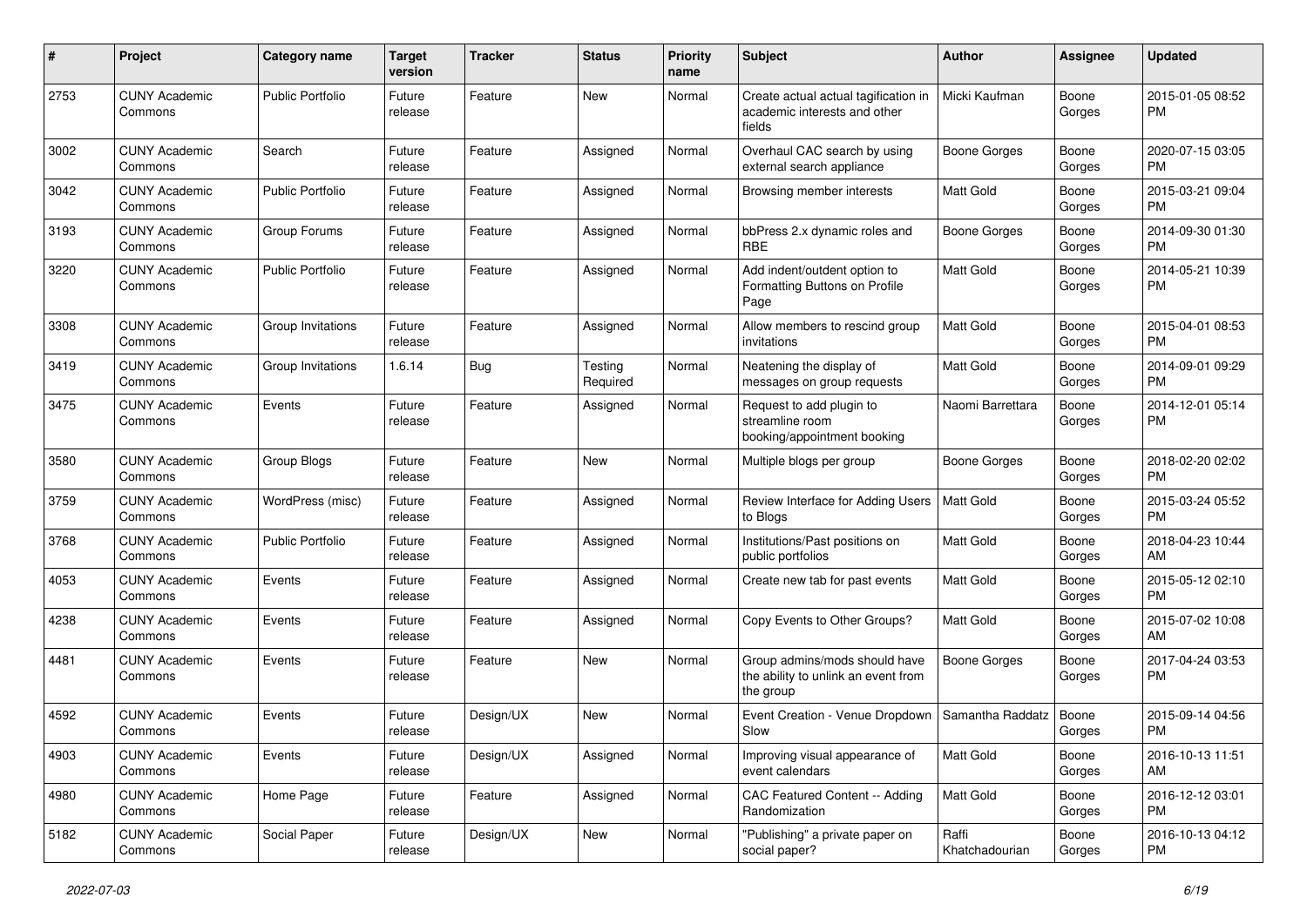| #    | Project                         | <b>Category name</b>    | <b>Target</b><br>version | <b>Tracker</b> | <b>Status</b>       | Priority<br>name | <b>Subject</b>                                                                    | Author                  | <b>Assignee</b> | <b>Updated</b>                |
|------|---------------------------------|-------------------------|--------------------------|----------------|---------------------|------------------|-----------------------------------------------------------------------------------|-------------------------|-----------------|-------------------------------|
| 2753 | <b>CUNY Academic</b><br>Commons | <b>Public Portfolio</b> | Future<br>release        | Feature        | <b>New</b>          | Normal           | Create actual actual tagification in<br>academic interests and other<br>fields    | Micki Kaufman           | Boone<br>Gorges | 2015-01-05 08:52<br><b>PM</b> |
| 3002 | <b>CUNY Academic</b><br>Commons | Search                  | Future<br>release        | Feature        | Assigned            | Normal           | Overhaul CAC search by using<br>external search appliance                         | <b>Boone Gorges</b>     | Boone<br>Gorges | 2020-07-15 03:05<br>PM.       |
| 3042 | <b>CUNY Academic</b><br>Commons | <b>Public Portfolio</b> | Future<br>release        | Feature        | Assigned            | Normal           | Browsing member interests                                                         | <b>Matt Gold</b>        | Boone<br>Gorges | 2015-03-21 09:04<br><b>PM</b> |
| 3193 | <b>CUNY Academic</b><br>Commons | Group Forums            | Future<br>release        | Feature        | Assigned            | Normal           | bbPress 2.x dynamic roles and<br><b>RBE</b>                                       | <b>Boone Gorges</b>     | Boone<br>Gorges | 2014-09-30 01:30<br><b>PM</b> |
| 3220 | <b>CUNY Academic</b><br>Commons | <b>Public Portfolio</b> | Future<br>release        | Feature        | Assigned            | Normal           | Add indent/outdent option to<br>Formatting Buttons on Profile<br>Page             | <b>Matt Gold</b>        | Boone<br>Gorges | 2014-05-21 10:39<br><b>PM</b> |
| 3308 | <b>CUNY Academic</b><br>Commons | Group Invitations       | Future<br>release        | Feature        | Assigned            | Normal           | Allow members to rescind group<br>invitations                                     | Matt Gold               | Boone<br>Gorges | 2015-04-01 08:53<br><b>PM</b> |
| 3419 | <b>CUNY Academic</b><br>Commons | Group Invitations       | 1.6.14                   | Bug            | Testing<br>Required | Normal           | Neatening the display of<br>messages on group requests                            | <b>Matt Gold</b>        | Boone<br>Gorges | 2014-09-01 09:29<br><b>PM</b> |
| 3475 | <b>CUNY Academic</b><br>Commons | Events                  | Future<br>release        | Feature        | Assigned            | Normal           | Request to add plugin to<br>streamline room<br>booking/appointment booking        | Naomi Barrettara        | Boone<br>Gorges | 2014-12-01 05:14<br><b>PM</b> |
| 3580 | <b>CUNY Academic</b><br>Commons | Group Blogs             | Future<br>release        | Feature        | New                 | Normal           | Multiple blogs per group                                                          | Boone Gorges            | Boone<br>Gorges | 2018-02-20 02:02<br><b>PM</b> |
| 3759 | <b>CUNY Academic</b><br>Commons | WordPress (misc)        | Future<br>release        | Feature        | Assigned            | Normal           | Review Interface for Adding Users<br>to Blogs                                     | <b>Matt Gold</b>        | Boone<br>Gorges | 2015-03-24 05:52<br><b>PM</b> |
| 3768 | <b>CUNY Academic</b><br>Commons | Public Portfolio        | Future<br>release        | Feature        | Assigned            | Normal           | Institutions/Past positions on<br>public portfolios                               | <b>Matt Gold</b>        | Boone<br>Gorges | 2018-04-23 10:44<br>AM        |
| 4053 | <b>CUNY Academic</b><br>Commons | Events                  | Future<br>release        | Feature        | Assigned            | Normal           | Create new tab for past events                                                    | <b>Matt Gold</b>        | Boone<br>Gorges | 2015-05-12 02:10<br><b>PM</b> |
| 4238 | <b>CUNY Academic</b><br>Commons | Events                  | Future<br>release        | Feature        | Assigned            | Normal           | Copy Events to Other Groups?                                                      | Matt Gold               | Boone<br>Gorges | 2015-07-02 10:08<br>AM        |
| 4481 | <b>CUNY Academic</b><br>Commons | Events                  | Future<br>release        | Feature        | New                 | Normal           | Group admins/mods should have<br>the ability to unlink an event from<br>the group | Boone Gorges            | Boone<br>Gorges | 2017-04-24 03:53<br><b>PM</b> |
| 4592 | <b>CUNY Academic</b><br>Commons | Events                  | Future<br>release        | Design/UX      | <b>New</b>          | Normal           | Event Creation - Venue Dropdown<br>Slow                                           | Samantha Raddatz        | Boone<br>Gorges | 2015-09-14 04:56<br><b>PM</b> |
| 4903 | <b>CUNY Academic</b><br>Commons | Events                  | Future<br>release        | Design/UX      | Assigned            | Normal           | Improving visual appearance of<br>event calendars                                 | Matt Gold               | Boone<br>Gorges | 2016-10-13 11:51<br>AM        |
| 4980 | <b>CUNY Academic</b><br>Commons | Home Page               | Future<br>release        | Feature        | Assigned            | Normal           | CAC Featured Content -- Adding<br>Randomization                                   | Matt Gold               | Boone<br>Gorges | 2016-12-12 03:01<br><b>PM</b> |
| 5182 | <b>CUNY Academic</b><br>Commons | Social Paper            | Future<br>release        | Design/UX      | New                 | Normal           | "Publishing" a private paper on<br>social paper?                                  | Raffi<br>Khatchadourian | Boone<br>Gorges | 2016-10-13 04:12<br><b>PM</b> |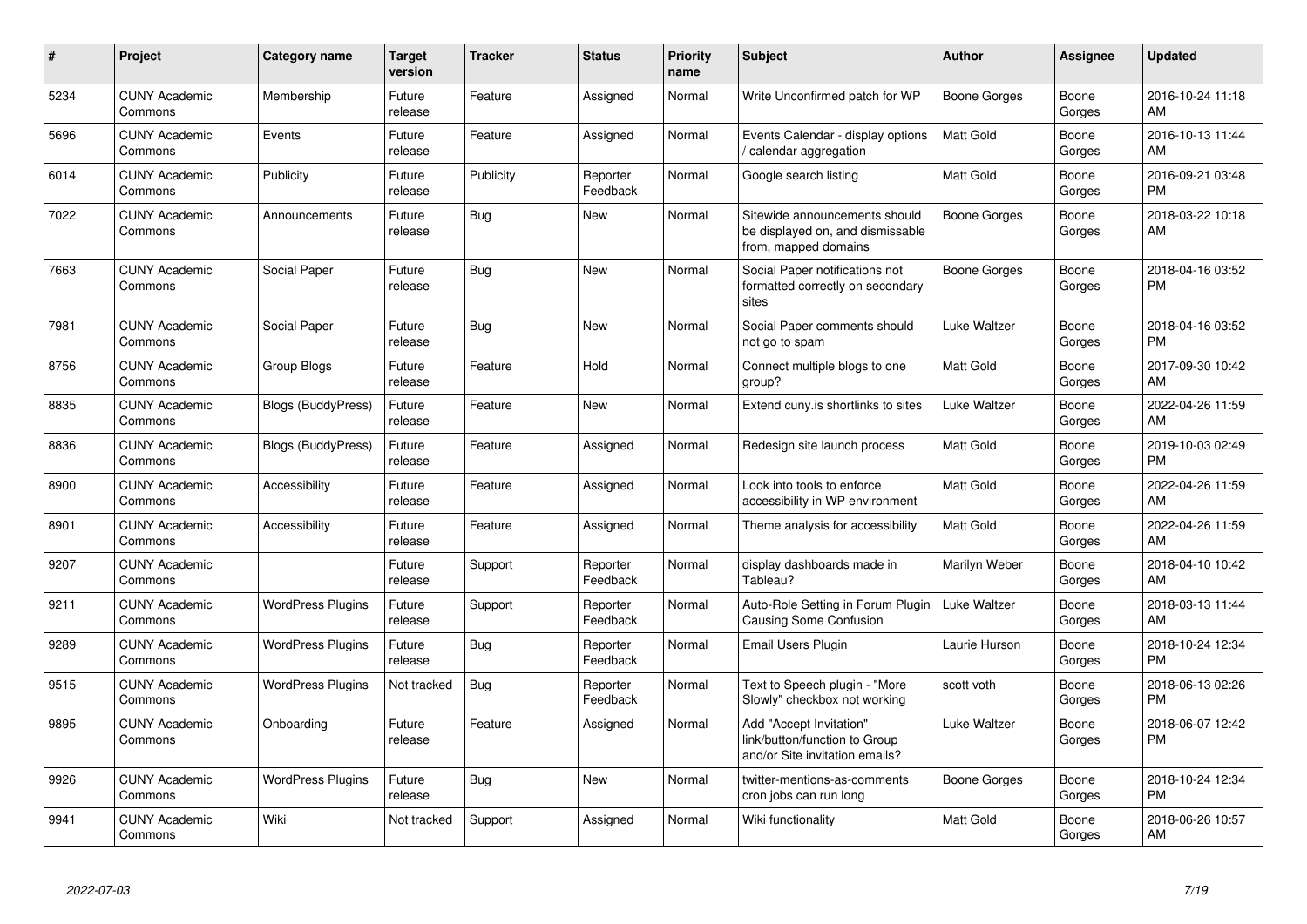| #    | Project                         | <b>Category name</b>      | <b>Target</b><br>version | <b>Tracker</b> | <b>Status</b>        | <b>Priority</b><br>name | <b>Subject</b>                                                                             | <b>Author</b>    | <b>Assignee</b> | <b>Updated</b>                |
|------|---------------------------------|---------------------------|--------------------------|----------------|----------------------|-------------------------|--------------------------------------------------------------------------------------------|------------------|-----------------|-------------------------------|
| 5234 | <b>CUNY Academic</b><br>Commons | Membership                | Future<br>release        | Feature        | Assigned             | Normal                  | Write Unconfirmed patch for WP                                                             | Boone Gorges     | Boone<br>Gorges | 2016-10-24 11:18<br>AM        |
| 5696 | <b>CUNY Academic</b><br>Commons | Events                    | Future<br>release        | Feature        | Assigned             | Normal                  | Events Calendar - display options<br>/ calendar aggregation                                | <b>Matt Gold</b> | Boone<br>Gorges | 2016-10-13 11:44<br>AM        |
| 6014 | <b>CUNY Academic</b><br>Commons | Publicity                 | Future<br>release        | Publicity      | Reporter<br>Feedback | Normal                  | Google search listing                                                                      | <b>Matt Gold</b> | Boone<br>Gorges | 2016-09-21 03:48<br><b>PM</b> |
| 7022 | <b>CUNY Academic</b><br>Commons | Announcements             | Future<br>release        | Bug            | New                  | Normal                  | Sitewide announcements should<br>be displayed on, and dismissable<br>from, mapped domains  | Boone Gorges     | Boone<br>Gorges | 2018-03-22 10:18<br>AM        |
| 7663 | <b>CUNY Academic</b><br>Commons | Social Paper              | Future<br>release        | Bug            | <b>New</b>           | Normal                  | Social Paper notifications not<br>formatted correctly on secondary<br>sites                | Boone Gorges     | Boone<br>Gorges | 2018-04-16 03:52<br><b>PM</b> |
| 7981 | <b>CUNY Academic</b><br>Commons | Social Paper              | Future<br>release        | Bug            | <b>New</b>           | Normal                  | Social Paper comments should<br>not go to spam                                             | Luke Waltzer     | Boone<br>Gorges | 2018-04-16 03:52<br><b>PM</b> |
| 8756 | <b>CUNY Academic</b><br>Commons | Group Blogs               | Future<br>release        | Feature        | Hold                 | Normal                  | Connect multiple blogs to one<br>group?                                                    | <b>Matt Gold</b> | Boone<br>Gorges | 2017-09-30 10:42<br>AM        |
| 8835 | <b>CUNY Academic</b><br>Commons | <b>Blogs (BuddyPress)</b> | Future<br>release        | Feature        | New                  | Normal                  | Extend cuny is shortlinks to sites                                                         | Luke Waltzer     | Boone<br>Gorges | 2022-04-26 11:59<br>AM        |
| 8836 | <b>CUNY Academic</b><br>Commons | <b>Blogs (BuddyPress)</b> | Future<br>release        | Feature        | Assigned             | Normal                  | Redesign site launch process                                                               | <b>Matt Gold</b> | Boone<br>Gorges | 2019-10-03 02:49<br><b>PM</b> |
| 8900 | <b>CUNY Academic</b><br>Commons | Accessibility             | Future<br>release        | Feature        | Assigned             | Normal                  | Look into tools to enforce<br>accessibility in WP environment                              | Matt Gold        | Boone<br>Gorges | 2022-04-26 11:59<br>AM        |
| 8901 | <b>CUNY Academic</b><br>Commons | Accessibility             | Future<br>release        | Feature        | Assigned             | Normal                  | Theme analysis for accessibility                                                           | <b>Matt Gold</b> | Boone<br>Gorges | 2022-04-26 11:59<br>AM        |
| 9207 | <b>CUNY Academic</b><br>Commons |                           | Future<br>release        | Support        | Reporter<br>Feedback | Normal                  | display dashboards made in<br>Tableau?                                                     | Marilyn Weber    | Boone<br>Gorges | 2018-04-10 10:42<br>AM        |
| 9211 | <b>CUNY Academic</b><br>Commons | <b>WordPress Plugins</b>  | Future<br>release        | Support        | Reporter<br>Feedback | Normal                  | Auto-Role Setting in Forum Plugin<br><b>Causing Some Confusion</b>                         | Luke Waltzer     | Boone<br>Gorges | 2018-03-13 11:44<br>AM        |
| 9289 | <b>CUNY Academic</b><br>Commons | <b>WordPress Plugins</b>  | Future<br>release        | Bug            | Reporter<br>Feedback | Normal                  | Email Users Plugin                                                                         | Laurie Hurson    | Boone<br>Gorges | 2018-10-24 12:34<br><b>PM</b> |
| 9515 | <b>CUNY Academic</b><br>Commons | <b>WordPress Plugins</b>  | Not tracked              | Bug            | Reporter<br>Feedback | Normal                  | Text to Speech plugin - "More<br>Slowly" checkbox not working                              | scott voth       | Boone<br>Gorges | 2018-06-13 02:26<br><b>PM</b> |
| 9895 | <b>CUNY Academic</b><br>Commons | Onboarding                | Future<br>release        | Feature        | Assigned             | Normal                  | Add "Accept Invitation"<br>link/button/function to Group<br>and/or Site invitation emails? | Luke Waltzer     | Boone<br>Gorges | 2018-06-07 12:42<br><b>PM</b> |
| 9926 | <b>CUNY Academic</b><br>Commons | <b>WordPress Plugins</b>  | Future<br>release        | <b>Bug</b>     | <b>New</b>           | Normal                  | twitter-mentions-as-comments<br>cron jobs can run long                                     | Boone Gorges     | Boone<br>Gorges | 2018-10-24 12:34<br><b>PM</b> |
| 9941 | <b>CUNY Academic</b><br>Commons | Wiki                      | Not tracked              | Support        | Assigned             | Normal                  | Wiki functionality                                                                         | <b>Matt Gold</b> | Boone<br>Gorges | 2018-06-26 10:57<br>AM        |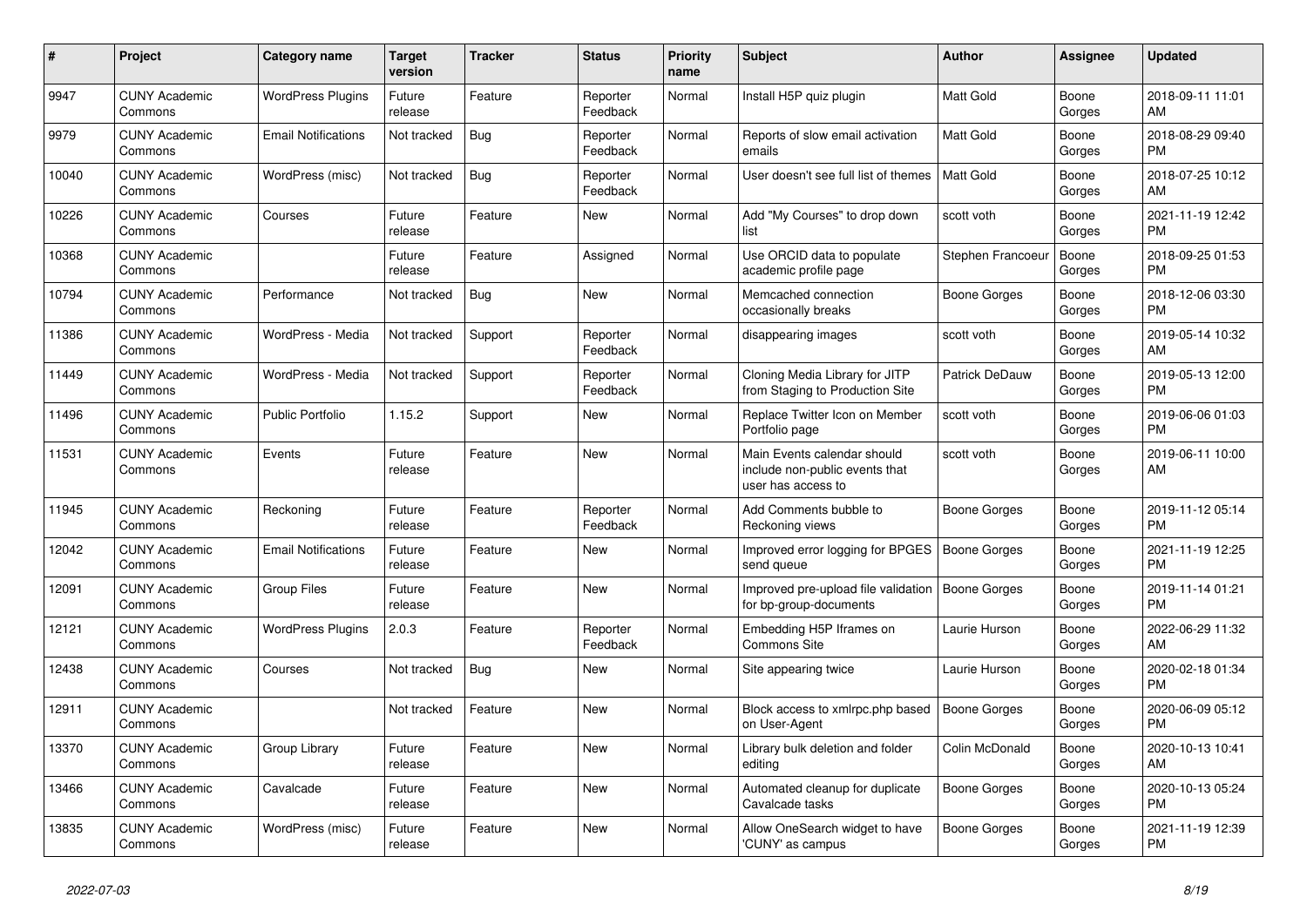| #     | Project                         | <b>Category name</b>       | Target<br>version | <b>Tracker</b> | <b>Status</b>        | <b>Priority</b><br>name | <b>Subject</b>                                                                      | <b>Author</b>       | <b>Assignee</b> | <b>Updated</b>                |
|-------|---------------------------------|----------------------------|-------------------|----------------|----------------------|-------------------------|-------------------------------------------------------------------------------------|---------------------|-----------------|-------------------------------|
| 9947  | <b>CUNY Academic</b><br>Commons | <b>WordPress Plugins</b>   | Future<br>release | Feature        | Reporter<br>Feedback | Normal                  | Install H5P quiz plugin                                                             | Matt Gold           | Boone<br>Gorges | 2018-09-11 11:01<br>AM.       |
| 9979  | <b>CUNY Academic</b><br>Commons | <b>Email Notifications</b> | Not tracked       | Bug            | Reporter<br>Feedback | Normal                  | Reports of slow email activation<br>emails                                          | Matt Gold           | Boone<br>Gorges | 2018-08-29 09:40<br><b>PM</b> |
| 10040 | <b>CUNY Academic</b><br>Commons | WordPress (misc)           | Not tracked       | Bug            | Reporter<br>Feedback | Normal                  | User doesn't see full list of themes                                                | <b>Matt Gold</b>    | Boone<br>Gorges | 2018-07-25 10:12<br>AM        |
| 10226 | <b>CUNY Academic</b><br>Commons | Courses                    | Future<br>release | Feature        | <b>New</b>           | Normal                  | Add "My Courses" to drop down<br>list                                               | scott voth          | Boone<br>Gorges | 2021-11-19 12:42<br><b>PM</b> |
| 10368 | <b>CUNY Academic</b><br>Commons |                            | Future<br>release | Feature        | Assigned             | Normal                  | Use ORCID data to populate<br>academic profile page                                 | Stephen Francoeur   | Boone<br>Gorges | 2018-09-25 01:53<br><b>PM</b> |
| 10794 | <b>CUNY Academic</b><br>Commons | Performance                | Not tracked       | Bug            | New                  | Normal                  | Memcached connection<br>occasionally breaks                                         | Boone Gorges        | Boone<br>Gorges | 2018-12-06 03:30<br><b>PM</b> |
| 11386 | <b>CUNY Academic</b><br>Commons | WordPress - Media          | Not tracked       | Support        | Reporter<br>Feedback | Normal                  | disappearing images                                                                 | scott voth          | Boone<br>Gorges | 2019-05-14 10:32<br>AM        |
| 11449 | <b>CUNY Academic</b><br>Commons | WordPress - Media          | Not tracked       | Support        | Reporter<br>Feedback | Normal                  | Cloning Media Library for JITP<br>from Staging to Production Site                   | Patrick DeDauw      | Boone<br>Gorges | 2019-05-13 12:00<br><b>PM</b> |
| 11496 | <b>CUNY Academic</b><br>Commons | <b>Public Portfolio</b>    | 1.15.2            | Support        | New                  | Normal                  | Replace Twitter Icon on Member<br>Portfolio page                                    | scott voth          | Boone<br>Gorges | 2019-06-06 01:03<br><b>PM</b> |
| 11531 | <b>CUNY Academic</b><br>Commons | Events                     | Future<br>release | Feature        | <b>New</b>           | Normal                  | Main Events calendar should<br>include non-public events that<br>user has access to | scott voth          | Boone<br>Gorges | 2019-06-11 10:00<br>AM        |
| 11945 | <b>CUNY Academic</b><br>Commons | Reckoning                  | Future<br>release | Feature        | Reporter<br>Feedback | Normal                  | Add Comments bubble to<br>Reckoning views                                           | Boone Gorges        | Boone<br>Gorges | 2019-11-12 05:14<br><b>PM</b> |
| 12042 | <b>CUNY Academic</b><br>Commons | <b>Email Notifications</b> | Future<br>release | Feature        | New                  | Normal                  | Improved error logging for BPGES<br>send queue                                      | <b>Boone Gorges</b> | Boone<br>Gorges | 2021-11-19 12:25<br><b>PM</b> |
| 12091 | <b>CUNY Academic</b><br>Commons | <b>Group Files</b>         | Future<br>release | Feature        | <b>New</b>           | Normal                  | Improved pre-upload file validation<br>for bp-group-documents                       | Boone Gorges        | Boone<br>Gorges | 2019-11-14 01:21<br><b>PM</b> |
| 12121 | <b>CUNY Academic</b><br>Commons | <b>WordPress Plugins</b>   | 2.0.3             | Feature        | Reporter<br>Feedback | Normal                  | Embedding H5P Iframes on<br><b>Commons Site</b>                                     | Laurie Hurson       | Boone<br>Gorges | 2022-06-29 11:32<br>AM        |
| 12438 | <b>CUNY Academic</b><br>Commons | Courses                    | Not tracked       | Bug            | New                  | Normal                  | Site appearing twice                                                                | Laurie Hurson       | Boone<br>Gorges | 2020-02-18 01:34<br><b>PM</b> |
| 12911 | <b>CUNY Academic</b><br>Commons |                            | Not tracked       | Feature        | <b>New</b>           | Normal                  | Block access to xmlrpc.php based<br>on User-Agent                                   | <b>Boone Gorges</b> | Boone<br>Gorges | 2020-06-09 05:12<br><b>PM</b> |
| 13370 | <b>CUNY Academic</b><br>Commons | Group Library              | Future<br>release | Feature        | <b>New</b>           | Normal                  | Library bulk deletion and folder<br>editing                                         | Colin McDonald      | Boone<br>Gorges | 2020-10-13 10:41<br>AM        |
| 13466 | <b>CUNY Academic</b><br>Commons | Cavalcade                  | Future<br>release | Feature        | New                  | Normal                  | Automated cleanup for duplicate<br>Cavalcade tasks                                  | Boone Gorges        | Boone<br>Gorges | 2020-10-13 05:24<br><b>PM</b> |
| 13835 | <b>CUNY Academic</b><br>Commons | WordPress (misc)           | Future<br>release | Feature        | <b>New</b>           | Normal                  | Allow OneSearch widget to have<br>'CUNY' as campus                                  | Boone Gorges        | Boone<br>Gorges | 2021-11-19 12:39<br><b>PM</b> |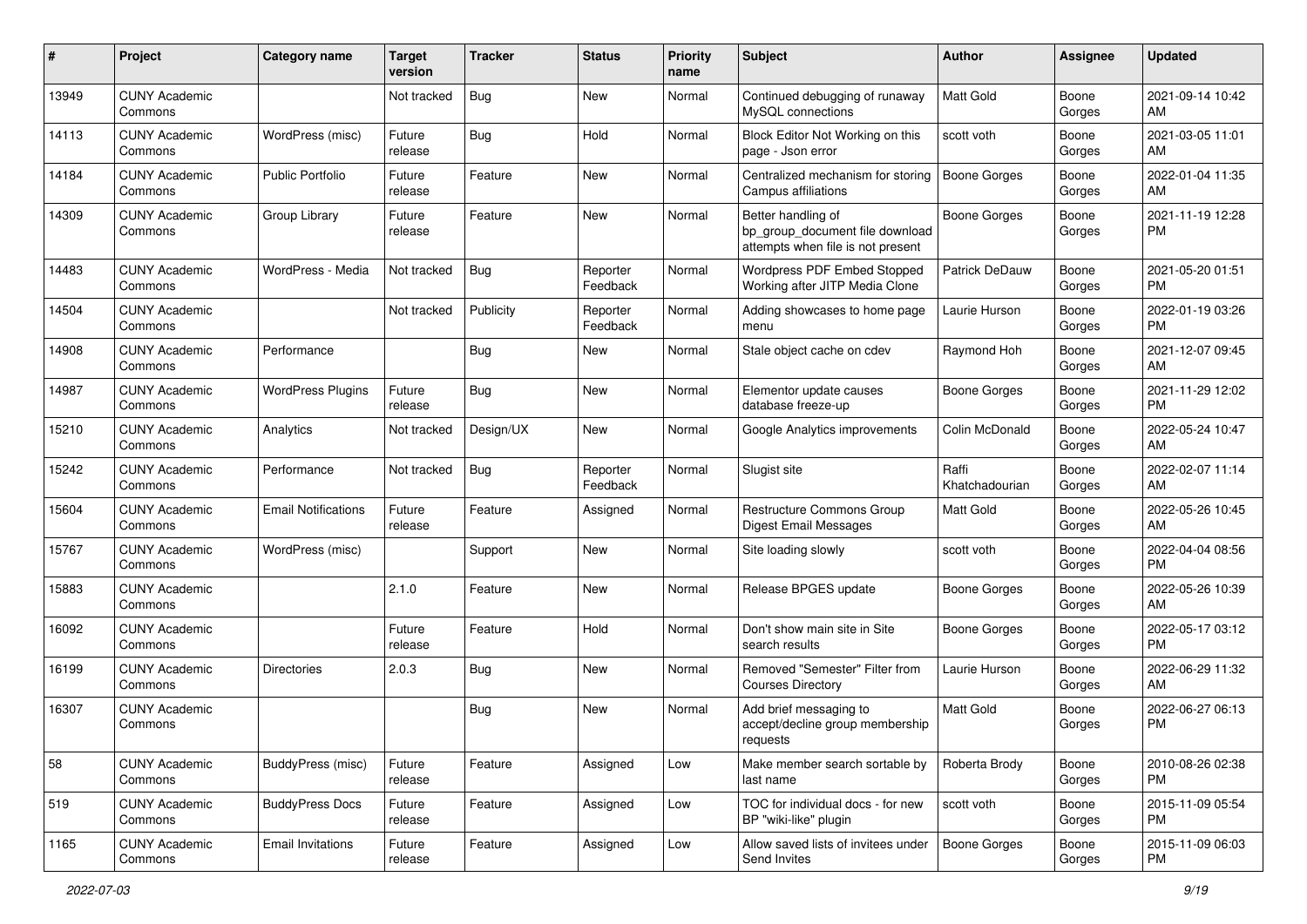| #     | Project                         | <b>Category name</b>       | <b>Target</b><br>version | Tracker    | <b>Status</b>        | <b>Priority</b><br>name | <b>Subject</b>                                                                             | Author                  | <b>Assignee</b> | <b>Updated</b>                |
|-------|---------------------------------|----------------------------|--------------------------|------------|----------------------|-------------------------|--------------------------------------------------------------------------------------------|-------------------------|-----------------|-------------------------------|
| 13949 | <b>CUNY Academic</b><br>Commons |                            | Not tracked              | <b>Bug</b> | <b>New</b>           | Normal                  | Continued debugging of runaway<br>MySQL connections                                        | <b>Matt Gold</b>        | Boone<br>Gorges | 2021-09-14 10:42<br>AM        |
| 14113 | <b>CUNY Academic</b><br>Commons | WordPress (misc)           | Future<br>release        | Bug        | Hold                 | Normal                  | Block Editor Not Working on this<br>page - Json error                                      | scott voth              | Boone<br>Gorges | 2021-03-05 11:01<br>AM        |
| 14184 | <b>CUNY Academic</b><br>Commons | <b>Public Portfolio</b>    | Future<br>release        | Feature    | <b>New</b>           | Normal                  | Centralized mechanism for storing<br>Campus affiliations                                   | <b>Boone Gorges</b>     | Boone<br>Gorges | 2022-01-04 11:35<br>AM        |
| 14309 | <b>CUNY Academic</b><br>Commons | Group Library              | Future<br>release        | Feature    | <b>New</b>           | Normal                  | Better handling of<br>bp_group_document file download<br>attempts when file is not present | Boone Gorges            | Boone<br>Gorges | 2021-11-19 12:28<br><b>PM</b> |
| 14483 | <b>CUNY Academic</b><br>Commons | WordPress - Media          | Not tracked              | Bug        | Reporter<br>Feedback | Normal                  | <b>Wordpress PDF Embed Stopped</b><br>Working after JITP Media Clone                       | Patrick DeDauw          | Boone<br>Gorges | 2021-05-20 01:51<br>PM        |
| 14504 | <b>CUNY Academic</b><br>Commons |                            | Not tracked              | Publicity  | Reporter<br>Feedback | Normal                  | Adding showcases to home page<br>menu                                                      | Laurie Hurson           | Boone<br>Gorges | 2022-01-19 03:26<br><b>PM</b> |
| 14908 | <b>CUNY Academic</b><br>Commons | Performance                |                          | <b>Bug</b> | New                  | Normal                  | Stale object cache on cdev                                                                 | Raymond Hoh             | Boone<br>Gorges | 2021-12-07 09:45<br>AM        |
| 14987 | <b>CUNY Academic</b><br>Commons | <b>WordPress Plugins</b>   | Future<br>release        | Bug        | <b>New</b>           | Normal                  | Elementor update causes<br>database freeze-up                                              | <b>Boone Gorges</b>     | Boone<br>Gorges | 2021-11-29 12:02<br><b>PM</b> |
| 15210 | <b>CUNY Academic</b><br>Commons | Analytics                  | Not tracked              | Design/UX  | <b>New</b>           | Normal                  | Google Analytics improvements                                                              | Colin McDonald          | Boone<br>Gorges | 2022-05-24 10:47<br>AM        |
| 15242 | <b>CUNY Academic</b><br>Commons | Performance                | Not tracked              | <b>Bug</b> | Reporter<br>Feedback | Normal                  | Slugist site                                                                               | Raffi<br>Khatchadourian | Boone<br>Gorges | 2022-02-07 11:14<br>AM        |
| 15604 | <b>CUNY Academic</b><br>Commons | <b>Email Notifications</b> | Future<br>release        | Feature    | Assigned             | Normal                  | Restructure Commons Group<br><b>Digest Email Messages</b>                                  | Matt Gold               | Boone<br>Gorges | 2022-05-26 10:45<br>AM        |
| 15767 | <b>CUNY Academic</b><br>Commons | WordPress (misc)           |                          | Support    | <b>New</b>           | Normal                  | Site loading slowly                                                                        | scott voth              | Boone<br>Gorges | 2022-04-04 08:56<br><b>PM</b> |
| 15883 | <b>CUNY Academic</b><br>Commons |                            | 2.1.0                    | Feature    | <b>New</b>           | Normal                  | Release BPGES update                                                                       | Boone Gorges            | Boone<br>Gorges | 2022-05-26 10:39<br>AM        |
| 16092 | <b>CUNY Academic</b><br>Commons |                            | Future<br>release        | Feature    | Hold                 | Normal                  | Don't show main site in Site<br>search results                                             | <b>Boone Gorges</b>     | Boone<br>Gorges | 2022-05-17 03:12<br><b>PM</b> |
| 16199 | <b>CUNY Academic</b><br>Commons | <b>Directories</b>         | 2.0.3                    | Bug        | <b>New</b>           | Normal                  | Removed "Semester" Filter from<br><b>Courses Directory</b>                                 | Laurie Hurson           | Boone<br>Gorges | 2022-06-29 11:32<br>AM        |
| 16307 | <b>CUNY Academic</b><br>Commons |                            |                          | <b>Bug</b> | <b>New</b>           | Normal                  | Add brief messaging to<br>accept/decline group membership<br>requests                      | <b>Matt Gold</b>        | Boone<br>Gorges | 2022-06-27 06:13<br><b>PM</b> |
| 58    | <b>CUNY Academic</b><br>Commons | BuddyPress (misc)          | Future<br>release        | Feature    | Assigned             | Low                     | Make member search sortable by<br>last name                                                | Roberta Brody           | Boone<br>Gorges | 2010-08-26 02:38<br>PM.       |
| 519   | <b>CUNY Academic</b><br>Commons | <b>BuddyPress Docs</b>     | Future<br>release        | Feature    | Assigned             | Low                     | TOC for individual docs - for new<br>BP "wiki-like" plugin                                 | scott voth              | Boone<br>Gorges | 2015-11-09 05:54<br><b>PM</b> |
| 1165  | <b>CUNY Academic</b><br>Commons | <b>Email Invitations</b>   | Future<br>release        | Feature    | Assigned             | Low                     | Allow saved lists of invitees under<br>Send Invites                                        | Boone Gorges            | Boone<br>Gorges | 2015-11-09 06:03<br>PM        |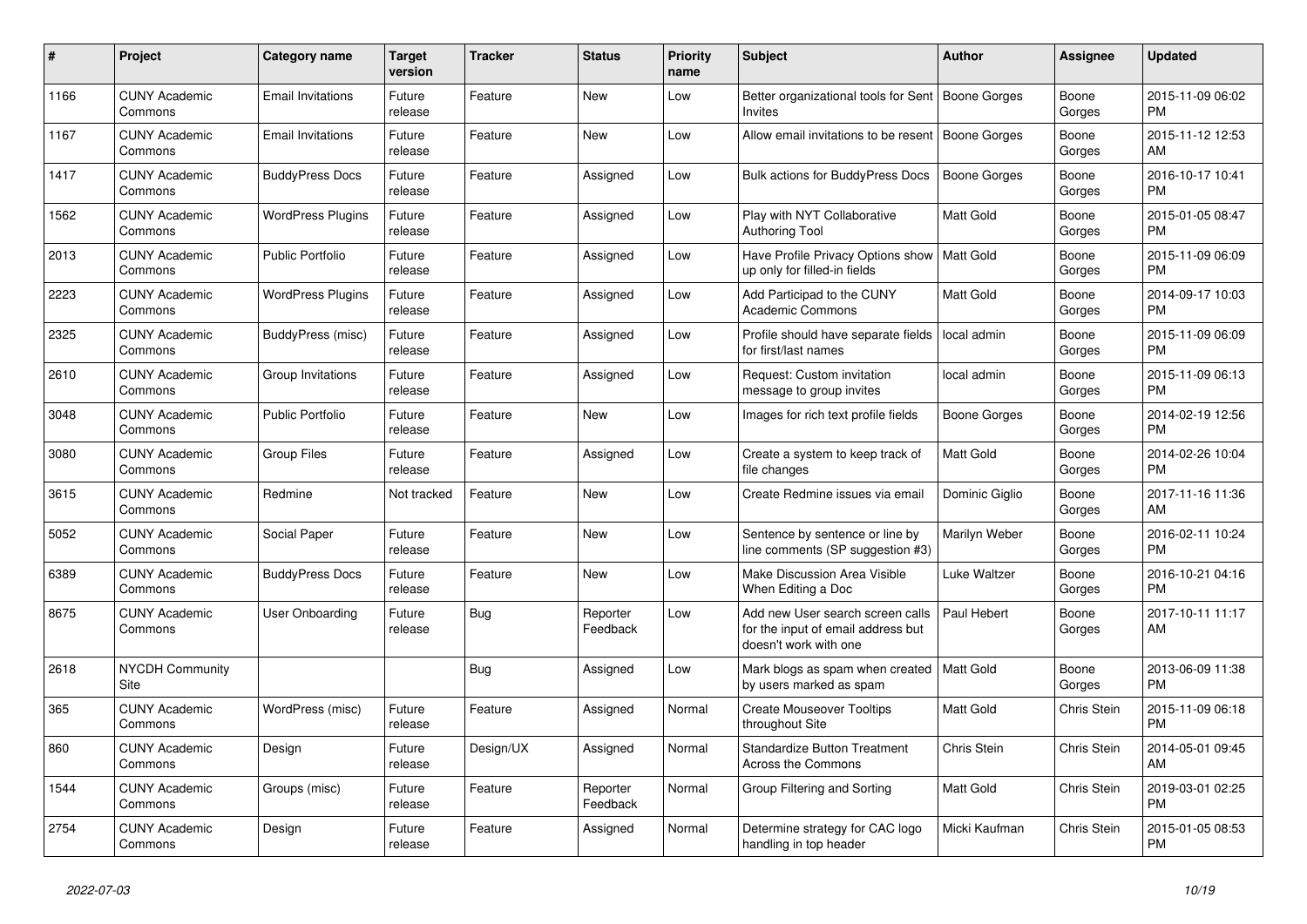| #    | Project                         | Category name            | Target<br>version | Tracker   | <b>Status</b>        | <b>Priority</b><br>name | <b>Subject</b>                                                                                  | <b>Author</b>    | <b>Assignee</b>    | <b>Updated</b>                |
|------|---------------------------------|--------------------------|-------------------|-----------|----------------------|-------------------------|-------------------------------------------------------------------------------------------------|------------------|--------------------|-------------------------------|
| 1166 | <b>CUNY Academic</b><br>Commons | <b>Email Invitations</b> | Future<br>release | Feature   | New                  | Low                     | Better organizational tools for Sent<br>Invites                                                 | Boone Gorges     | Boone<br>Gorges    | 2015-11-09 06:02<br><b>PM</b> |
| 1167 | <b>CUNY Academic</b><br>Commons | <b>Email Invitations</b> | Future<br>release | Feature   | New                  | Low                     | Allow email invitations to be resent   Boone Gorges                                             |                  | Boone<br>Gorges    | 2015-11-12 12:53<br>AM        |
| 1417 | <b>CUNY Academic</b><br>Commons | <b>BuddyPress Docs</b>   | Future<br>release | Feature   | Assigned             | Low                     | Bulk actions for BuddyPress Docs                                                                | Boone Gorges     | Boone<br>Gorges    | 2016-10-17 10:41<br><b>PM</b> |
| 1562 | <b>CUNY Academic</b><br>Commons | <b>WordPress Plugins</b> | Future<br>release | Feature   | Assigned             | Low                     | Play with NYT Collaborative<br><b>Authoring Tool</b>                                            | Matt Gold        | Boone<br>Gorges    | 2015-01-05 08:47<br><b>PM</b> |
| 2013 | <b>CUNY Academic</b><br>Commons | <b>Public Portfolio</b>  | Future<br>release | Feature   | Assigned             | Low                     | Have Profile Privacy Options show<br>up only for filled-in fields                               | Matt Gold        | Boone<br>Gorges    | 2015-11-09 06:09<br><b>PM</b> |
| 2223 | <b>CUNY Academic</b><br>Commons | <b>WordPress Plugins</b> | Future<br>release | Feature   | Assigned             | Low                     | Add Participad to the CUNY<br><b>Academic Commons</b>                                           | Matt Gold        | Boone<br>Gorges    | 2014-09-17 10:03<br><b>PM</b> |
| 2325 | <b>CUNY Academic</b><br>Commons | BuddyPress (misc)        | Future<br>release | Feature   | Assigned             | Low                     | Profile should have separate fields<br>for first/last names                                     | local admin      | Boone<br>Gorges    | 2015-11-09 06:09<br><b>PM</b> |
| 2610 | <b>CUNY Academic</b><br>Commons | Group Invitations        | Future<br>release | Feature   | Assigned             | Low                     | Request: Custom invitation<br>message to group invites                                          | local admin      | Boone<br>Gorges    | 2015-11-09 06:13<br><b>PM</b> |
| 3048 | <b>CUNY Academic</b><br>Commons | <b>Public Portfolio</b>  | Future<br>release | Feature   | New                  | Low                     | Images for rich text profile fields                                                             | Boone Gorges     | Boone<br>Gorges    | 2014-02-19 12:56<br><b>PM</b> |
| 3080 | <b>CUNY Academic</b><br>Commons | <b>Group Files</b>       | Future<br>release | Feature   | Assigned             | Low                     | Create a system to keep track of<br>file changes                                                | <b>Matt Gold</b> | Boone<br>Gorges    | 2014-02-26 10:04<br><b>PM</b> |
| 3615 | <b>CUNY Academic</b><br>Commons | Redmine                  | Not tracked       | Feature   | New                  | Low                     | Create Redmine issues via email                                                                 | Dominic Giglio   | Boone<br>Gorges    | 2017-11-16 11:36<br>AM        |
| 5052 | <b>CUNY Academic</b><br>Commons | Social Paper             | Future<br>release | Feature   | New                  | Low                     | Sentence by sentence or line by<br>line comments (SP suggestion #3)                             | Marilyn Weber    | Boone<br>Gorges    | 2016-02-11 10:24<br><b>PM</b> |
| 6389 | <b>CUNY Academic</b><br>Commons | <b>BuddyPress Docs</b>   | Future<br>release | Feature   | New                  | Low                     | Make Discussion Area Visible<br>When Editing a Doc                                              | Luke Waltzer     | Boone<br>Gorges    | 2016-10-21 04:16<br><b>PM</b> |
| 8675 | <b>CUNY Academic</b><br>Commons | User Onboarding          | Future<br>release | Bug       | Reporter<br>Feedback | Low                     | Add new User search screen calls<br>for the input of email address but<br>doesn't work with one | Paul Hebert      | Boone<br>Gorges    | 2017-10-11 11:17<br>AM        |
| 2618 | <b>NYCDH Community</b><br>Site  |                          |                   | Bug       | Assigned             | Low                     | Mark blogs as spam when created   Matt Gold<br>by users marked as spam                          |                  | Boone<br>Gorges    | 2013-06-09 11:38<br><b>PM</b> |
| 365  | <b>CUNY Academic</b><br>Commons | WordPress (misc)         | Future<br>release | Feature   | Assigned             | Normal                  | <b>Create Mouseover Tooltips</b><br>throughout Site                                             | Matt Gold        | <b>Chris Stein</b> | 2015-11-09 06:18<br><b>PM</b> |
| 860  | <b>CUNY Academic</b><br>Commons | Design                   | Future<br>release | Design/UX | Assigned             | Normal                  | <b>Standardize Button Treatment</b><br>Across the Commons                                       | Chris Stein      | Chris Stein        | 2014-05-01 09:45<br>AM        |
| 1544 | <b>CUNY Academic</b><br>Commons | Groups (misc)            | Future<br>release | Feature   | Reporter<br>Feedback | Normal                  | Group Filtering and Sorting                                                                     | Matt Gold        | Chris Stein        | 2019-03-01 02:25<br><b>PM</b> |
| 2754 | <b>CUNY Academic</b><br>Commons | Design                   | Future<br>release | Feature   | Assigned             | Normal                  | Determine strategy for CAC logo<br>handling in top header                                       | Micki Kaufman    | <b>Chris Stein</b> | 2015-01-05 08:53<br><b>PM</b> |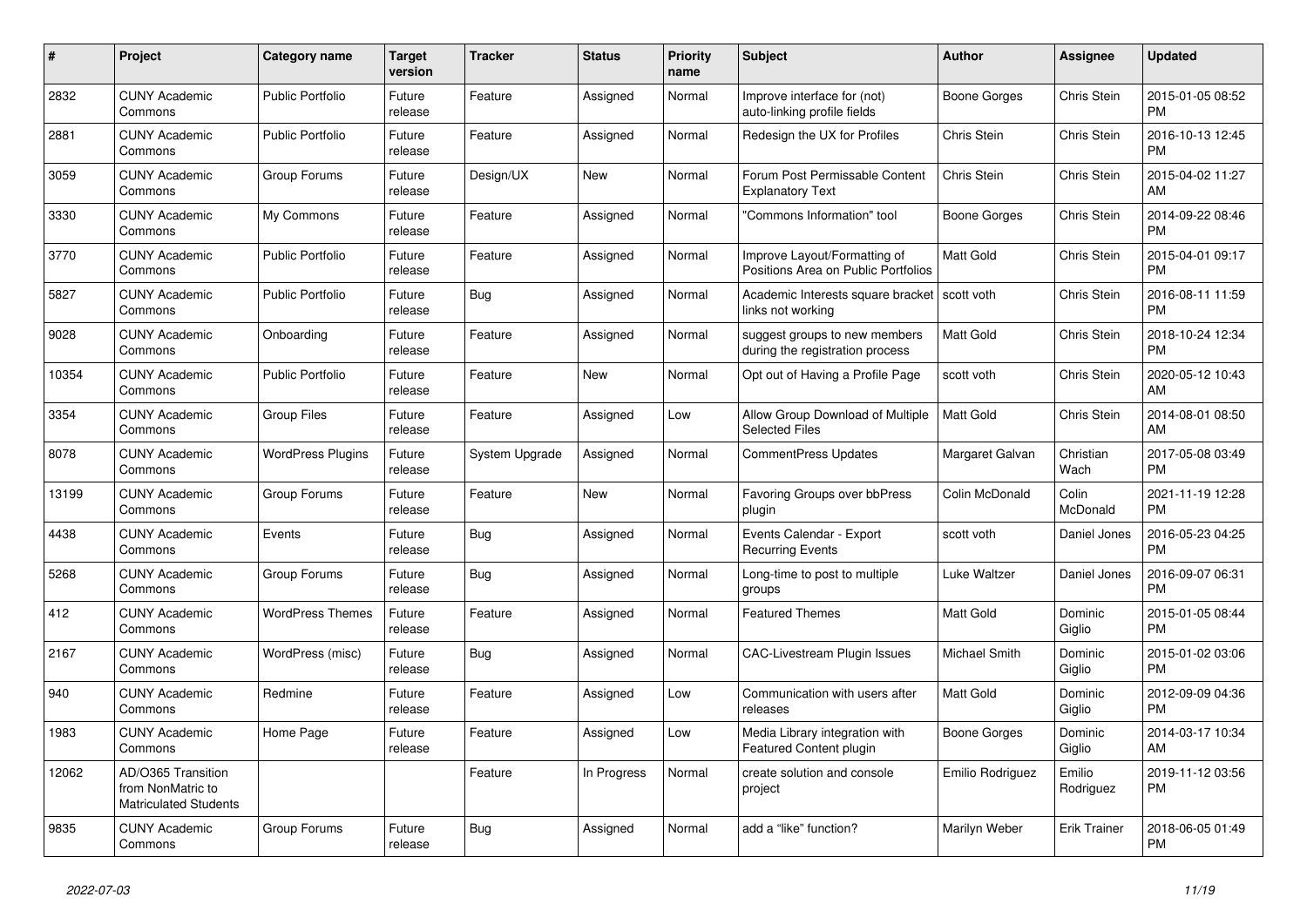| #     | Project                                                                 | Category name            | Target<br>version | Tracker        | <b>Status</b> | <b>Priority</b><br>name | <b>Subject</b>                                                      | <b>Author</b>    | Assignee            | <b>Updated</b>                |
|-------|-------------------------------------------------------------------------|--------------------------|-------------------|----------------|---------------|-------------------------|---------------------------------------------------------------------|------------------|---------------------|-------------------------------|
| 2832  | <b>CUNY Academic</b><br>Commons                                         | <b>Public Portfolio</b>  | Future<br>release | Feature        | Assigned      | Normal                  | Improve interface for (not)<br>auto-linking profile fields          | Boone Gorges     | Chris Stein         | 2015-01-05 08:52<br><b>PM</b> |
| 2881  | <b>CUNY Academic</b><br>Commons                                         | <b>Public Portfolio</b>  | Future<br>release | Feature        | Assigned      | Normal                  | Redesign the UX for Profiles                                        | Chris Stein      | <b>Chris Stein</b>  | 2016-10-13 12:45<br><b>PM</b> |
| 3059  | <b>CUNY Academic</b><br>Commons                                         | Group Forums             | Future<br>release | Design/UX      | New           | Normal                  | Forum Post Permissable Content<br><b>Explanatory Text</b>           | Chris Stein      | <b>Chris Stein</b>  | 2015-04-02 11:27<br>AM        |
| 3330  | <b>CUNY Academic</b><br>Commons                                         | My Commons               | Future<br>release | Feature        | Assigned      | Normal                  | "Commons Information" tool                                          | Boone Gorges     | Chris Stein         | 2014-09-22 08:46<br><b>PM</b> |
| 3770  | <b>CUNY Academic</b><br>Commons                                         | <b>Public Portfolio</b>  | Future<br>release | Feature        | Assigned      | Normal                  | Improve Layout/Formatting of<br>Positions Area on Public Portfolios | <b>Matt Gold</b> | Chris Stein         | 2015-04-01 09:17<br><b>PM</b> |
| 5827  | <b>CUNY Academic</b><br>Commons                                         | <b>Public Portfolio</b>  | Future<br>release | <b>Bug</b>     | Assigned      | Normal                  | Academic Interests square bracket<br>links not working              | scott voth       | <b>Chris Stein</b>  | 2016-08-11 11:59<br><b>PM</b> |
| 9028  | <b>CUNY Academic</b><br>Commons                                         | Onboarding               | Future<br>release | Feature        | Assigned      | Normal                  | suggest groups to new members<br>during the registration process    | <b>Matt Gold</b> | <b>Chris Stein</b>  | 2018-10-24 12:34<br><b>PM</b> |
| 10354 | <b>CUNY Academic</b><br>Commons                                         | <b>Public Portfolio</b>  | Future<br>release | Feature        | <b>New</b>    | Normal                  | Opt out of Having a Profile Page                                    | scott voth       | Chris Stein         | 2020-05-12 10:43<br>AM        |
| 3354  | <b>CUNY Academic</b><br>Commons                                         | <b>Group Files</b>       | Future<br>release | Feature        | Assigned      | Low                     | Allow Group Download of Multiple<br><b>Selected Files</b>           | <b>Matt Gold</b> | <b>Chris Stein</b>  | 2014-08-01 08:50<br>AM        |
| 8078  | <b>CUNY Academic</b><br>Commons                                         | <b>WordPress Plugins</b> | Future<br>release | System Upgrade | Assigned      | Normal                  | <b>CommentPress Updates</b>                                         | Margaret Galvan  | Christian<br>Wach   | 2017-05-08 03:49<br><b>PM</b> |
| 13199 | <b>CUNY Academic</b><br>Commons                                         | Group Forums             | Future<br>release | Feature        | New           | Normal                  | <b>Favoring Groups over bbPress</b><br>plugin                       | Colin McDonald   | Colin<br>McDonald   | 2021-11-19 12:28<br><b>PM</b> |
| 4438  | <b>CUNY Academic</b><br>Commons                                         | Events                   | Future<br>release | Bug            | Assigned      | Normal                  | Events Calendar - Export<br><b>Recurring Events</b>                 | scott voth       | Daniel Jones        | 2016-05-23 04:25<br><b>PM</b> |
| 5268  | <b>CUNY Academic</b><br>Commons                                         | Group Forums             | Future<br>release | Bug            | Assigned      | Normal                  | Long-time to post to multiple<br>groups                             | Luke Waltzer     | Daniel Jones        | 2016-09-07 06:31<br><b>PM</b> |
| 412   | <b>CUNY Academic</b><br>Commons                                         | <b>WordPress Themes</b>  | Future<br>release | Feature        | Assigned      | Normal                  | <b>Featured Themes</b>                                              | <b>Matt Gold</b> | Dominic<br>Giglio   | 2015-01-05 08:44<br><b>PM</b> |
| 2167  | <b>CUNY Academic</b><br>Commons                                         | WordPress (misc)         | Future<br>release | Bug            | Assigned      | Normal                  | CAC-Livestream Plugin Issues                                        | Michael Smith    | Dominic<br>Giglio   | 2015-01-02 03:06<br><b>PM</b> |
| 940   | <b>CUNY Academic</b><br>Commons                                         | Redmine                  | Future<br>release | Feature        | Assigned      | Low                     | Communication with users after<br>releases                          | <b>Matt Gold</b> | Dominic<br>Giglio   | 2012-09-09 04:36<br><b>PM</b> |
| 1983  | <b>CUNY Academic</b><br>Commons                                         | Home Page                | Future<br>release | Feature        | Assigned      | Low                     | Media Library integration with<br><b>Featured Content plugin</b>    | Boone Gorges     | Dominic<br>Giglio   | 2014-03-17 10:34<br>AM        |
| 12062 | AD/O365 Transition<br>from NonMatric to<br><b>Matriculated Students</b> |                          |                   | Feature        | In Progress   | Normal                  | create solution and console<br>project                              | Emilio Rodriguez | Emilio<br>Rodriguez | 2019-11-12 03:56<br><b>PM</b> |
| 9835  | <b>CUNY Academic</b><br>Commons                                         | Group Forums             | Future<br>release | Bug            | Assigned      | Normal                  | add a "like" function?                                              | Marilyn Weber    | <b>Erik Trainer</b> | 2018-06-05 01:49<br><b>PM</b> |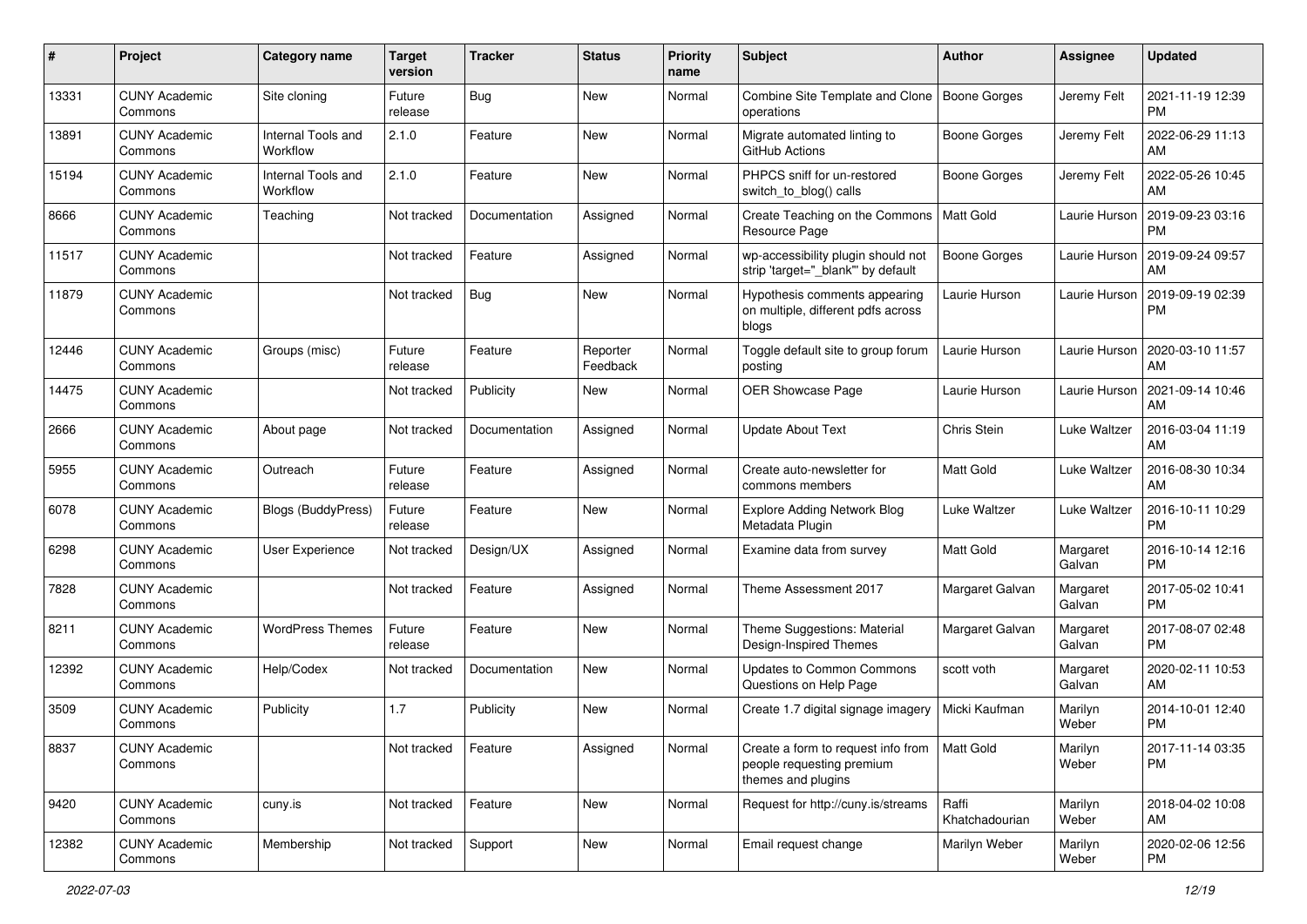| #     | Project                         | <b>Category name</b>           | <b>Target</b><br>version | <b>Tracker</b> | <b>Status</b>        | Priority<br>name | <b>Subject</b>                                                                        | Author                  | <b>Assignee</b>    | <b>Updated</b>                |
|-------|---------------------------------|--------------------------------|--------------------------|----------------|----------------------|------------------|---------------------------------------------------------------------------------------|-------------------------|--------------------|-------------------------------|
| 13331 | <b>CUNY Academic</b><br>Commons | Site cloning                   | Future<br>release        | <b>Bug</b>     | <b>New</b>           | Normal           | Combine Site Template and Clone<br>operations                                         | Boone Gorges            | Jeremy Felt        | 2021-11-19 12:39<br>PM.       |
| 13891 | <b>CUNY Academic</b><br>Commons | Internal Tools and<br>Workflow | 2.1.0                    | Feature        | New                  | Normal           | Migrate automated linting to<br>GitHub Actions                                        | Boone Gorges            | Jeremy Felt        | 2022-06-29 11:13<br><b>AM</b> |
| 15194 | <b>CUNY Academic</b><br>Commons | Internal Tools and<br>Workflow | 2.1.0                    | Feature        | New                  | Normal           | PHPCS sniff for un-restored<br>switch_to_blog() calls                                 | Boone Gorges            | Jeremy Felt        | 2022-05-26 10:45<br>AM.       |
| 8666  | <b>CUNY Academic</b><br>Commons | Teaching                       | Not tracked              | Documentation  | Assigned             | Normal           | Create Teaching on the Commons<br>Resource Page                                       | <b>Matt Gold</b>        | Laurie Hurson      | 2019-09-23 03:16<br><b>PM</b> |
| 11517 | <b>CUNY Academic</b><br>Commons |                                | Not tracked              | Feature        | Assigned             | Normal           | wp-accessibility plugin should not<br>strip 'target="_blank" by default               | Boone Gorges            | Laurie Hurson      | 2019-09-24 09:57<br>AM        |
| 11879 | <b>CUNY Academic</b><br>Commons |                                | Not tracked              | Bug            | New                  | Normal           | Hypothesis comments appearing<br>on multiple, different pdfs across<br>blogs          | Laurie Hurson           | Laurie Hurson      | 2019-09-19 02:39<br><b>PM</b> |
| 12446 | <b>CUNY Academic</b><br>Commons | Groups (misc)                  | Future<br>release        | Feature        | Reporter<br>Feedback | Normal           | Toggle default site to group forum<br>posting                                         | Laurie Hurson           | Laurie Hurson      | 2020-03-10 11:57<br>AM        |
| 14475 | <b>CUNY Academic</b><br>Commons |                                | Not tracked              | Publicity      | New                  | Normal           | OER Showcase Page                                                                     | Laurie Hurson           | Laurie Hurson      | 2021-09-14 10:46<br>AM        |
| 2666  | <b>CUNY Academic</b><br>Commons | About page                     | Not tracked              | Documentation  | Assigned             | Normal           | <b>Update About Text</b>                                                              | Chris Stein             | Luke Waltzer       | 2016-03-04 11:19<br>AM.       |
| 5955  | <b>CUNY Academic</b><br>Commons | Outreach                       | Future<br>release        | Feature        | Assigned             | Normal           | Create auto-newsletter for<br>commons members                                         | Matt Gold               | Luke Waltzer       | 2016-08-30 10:34<br>AM        |
| 6078  | <b>CUNY Academic</b><br>Commons | <b>Blogs (BuddyPress)</b>      | Future<br>release        | Feature        | New                  | Normal           | <b>Explore Adding Network Blog</b><br>Metadata Plugin                                 | Luke Waltzer            | Luke Waltzer       | 2016-10-11 10:29<br><b>PM</b> |
| 6298  | <b>CUNY Academic</b><br>Commons | User Experience                | Not tracked              | Design/UX      | Assigned             | Normal           | Examine data from survey                                                              | <b>Matt Gold</b>        | Margaret<br>Galvan | 2016-10-14 12:16<br>PM.       |
| 7828  | <b>CUNY Academic</b><br>Commons |                                | Not tracked              | Feature        | Assigned             | Normal           | Theme Assessment 2017                                                                 | Margaret Galvan         | Margaret<br>Galvan | 2017-05-02 10:41<br><b>PM</b> |
| 8211  | <b>CUNY Academic</b><br>Commons | <b>WordPress Themes</b>        | Future<br>release        | Feature        | New                  | Normal           | Theme Suggestions: Material<br>Design-Inspired Themes                                 | Margaret Galvan         | Margaret<br>Galvan | 2017-08-07 02:48<br><b>PM</b> |
| 12392 | <b>CUNY Academic</b><br>Commons | Help/Codex                     | Not tracked              | Documentation  | New                  | Normal           | Updates to Common Commons<br>Questions on Help Page                                   | scott voth              | Margaret<br>Galvan | 2020-02-11 10:53<br>AM.       |
| 3509  | <b>CUNY Academic</b><br>Commons | Publicity                      | 1.7                      | Publicity      | New                  | Normal           | Create 1.7 digital signage imagery                                                    | Micki Kaufman           | Marilyn<br>Weber   | 2014-10-01 12:40<br><b>PM</b> |
| 8837  | <b>CUNY Academic</b><br>Commons |                                | Not tracked              | Feature        | Assigned             | Normal           | Create a form to request info from<br>people requesting premium<br>themes and plugins | Matt Gold               | Marilyn<br>Weber   | 2017-11-14 03:35<br><b>PM</b> |
| 9420  | <b>CUNY Academic</b><br>Commons | cuny.is                        | Not tracked              | Feature        | New                  | Normal           | Request for http://cuny.is/streams                                                    | Raffi<br>Khatchadourian | Marilyn<br>Weber   | 2018-04-02 10:08<br>AM        |
| 12382 | <b>CUNY Academic</b><br>Commons | Membership                     | Not tracked              | Support        | New                  | Normal           | Email request change                                                                  | Marilyn Weber           | Marilyn<br>Weber   | 2020-02-06 12:56<br>PM        |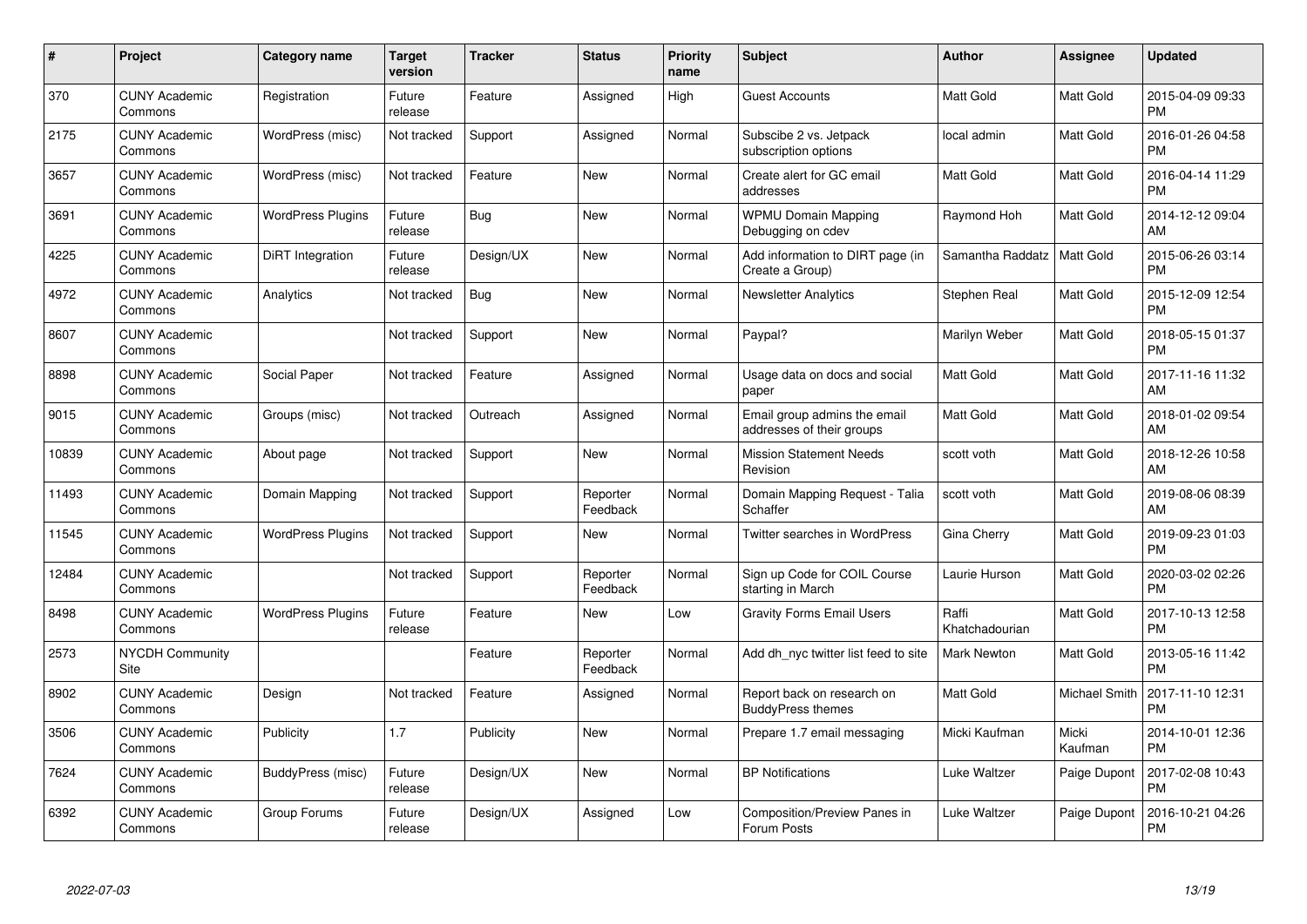| $\#$  | Project                         | <b>Category name</b>     | Target<br>version | <b>Tracker</b> | <b>Status</b>        | <b>Priority</b><br>name | <b>Subject</b>                                            | Author                  | Assignee             | <b>Updated</b>                |
|-------|---------------------------------|--------------------------|-------------------|----------------|----------------------|-------------------------|-----------------------------------------------------------|-------------------------|----------------------|-------------------------------|
| 370   | <b>CUNY Academic</b><br>Commons | Registration             | Future<br>release | Feature        | Assigned             | High                    | <b>Guest Accounts</b>                                     | <b>Matt Gold</b>        | Matt Gold            | 2015-04-09 09:33<br><b>PM</b> |
| 2175  | <b>CUNY Academic</b><br>Commons | WordPress (misc)         | Not tracked       | Support        | Assigned             | Normal                  | Subscibe 2 vs. Jetpack<br>subscription options            | local admin             | <b>Matt Gold</b>     | 2016-01-26 04:58<br><b>PM</b> |
| 3657  | <b>CUNY Academic</b><br>Commons | WordPress (misc)         | Not tracked       | Feature        | <b>New</b>           | Normal                  | Create alert for GC email<br>addresses                    | <b>Matt Gold</b>        | <b>Matt Gold</b>     | 2016-04-14 11:29<br><b>PM</b> |
| 3691  | <b>CUNY Academic</b><br>Commons | <b>WordPress Plugins</b> | Future<br>release | Bug            | <b>New</b>           | Normal                  | <b>WPMU Domain Mapping</b><br>Debugging on cdev           | Raymond Hoh             | Matt Gold            | 2014-12-12 09:04<br>AM        |
| 4225  | <b>CUNY Academic</b><br>Commons | DiRT Integration         | Future<br>release | Design/UX      | <b>New</b>           | Normal                  | Add information to DIRT page (in<br>Create a Group)       | Samantha Raddatz        | <b>Matt Gold</b>     | 2015-06-26 03:14<br><b>PM</b> |
| 4972  | <b>CUNY Academic</b><br>Commons | Analytics                | Not tracked       | <b>Bug</b>     | <b>New</b>           | Normal                  | <b>Newsletter Analytics</b>                               | Stephen Real            | Matt Gold            | 2015-12-09 12:54<br><b>PM</b> |
| 8607  | <b>CUNY Academic</b><br>Commons |                          | Not tracked       | Support        | <b>New</b>           | Normal                  | Paypal?                                                   | Marilyn Weber           | Matt Gold            | 2018-05-15 01:37<br><b>PM</b> |
| 8898  | <b>CUNY Academic</b><br>Commons | Social Paper             | Not tracked       | Feature        | Assigned             | Normal                  | Usage data on docs and social<br>paper                    | <b>Matt Gold</b>        | <b>Matt Gold</b>     | 2017-11-16 11:32<br>AM        |
| 9015  | <b>CUNY Academic</b><br>Commons | Groups (misc)            | Not tracked       | Outreach       | Assigned             | Normal                  | Email group admins the email<br>addresses of their groups | <b>Matt Gold</b>        | <b>Matt Gold</b>     | 2018-01-02 09:54<br>AM        |
| 10839 | <b>CUNY Academic</b><br>Commons | About page               | Not tracked       | Support        | <b>New</b>           | Normal                  | <b>Mission Statement Needs</b><br>Revision                | scott voth              | <b>Matt Gold</b>     | 2018-12-26 10:58<br>AM        |
| 11493 | <b>CUNY Academic</b><br>Commons | Domain Mapping           | Not tracked       | Support        | Reporter<br>Feedback | Normal                  | Domain Mapping Request - Talia<br>Schaffer                | scott voth              | <b>Matt Gold</b>     | 2019-08-06 08:39<br>AM        |
| 11545 | <b>CUNY Academic</b><br>Commons | <b>WordPress Plugins</b> | Not tracked       | Support        | New                  | Normal                  | <b>Twitter searches in WordPress</b>                      | Gina Cherry             | <b>Matt Gold</b>     | 2019-09-23 01:03<br><b>PM</b> |
| 12484 | <b>CUNY Academic</b><br>Commons |                          | Not tracked       | Support        | Reporter<br>Feedback | Normal                  | Sign up Code for COIL Course<br>starting in March         | Laurie Hurson           | <b>Matt Gold</b>     | 2020-03-02 02:26<br><b>PM</b> |
| 8498  | <b>CUNY Academic</b><br>Commons | <b>WordPress Plugins</b> | Future<br>release | Feature        | New                  | Low                     | <b>Gravity Forms Email Users</b>                          | Raffi<br>Khatchadourian | <b>Matt Gold</b>     | 2017-10-13 12:58<br><b>PM</b> |
| 2573  | <b>NYCDH Community</b><br>Site  |                          |                   | Feature        | Reporter<br>Feedback | Normal                  | Add dh nyc twitter list feed to site                      | Mark Newton             | Matt Gold            | 2013-05-16 11:42<br><b>PM</b> |
| 8902  | <b>CUNY Academic</b><br>Commons | Design                   | Not tracked       | Feature        | Assigned             | Normal                  | Report back on research on<br><b>BuddyPress themes</b>    | <b>Matt Gold</b>        | <b>Michael Smith</b> | 2017-11-10 12:31<br><b>PM</b> |
| 3506  | <b>CUNY Academic</b><br>Commons | Publicity                | 1.7               | Publicity      | New                  | Normal                  | Prepare 1.7 email messaging                               | Micki Kaufman           | Micki<br>Kaufman     | 2014-10-01 12:36<br><b>PM</b> |
| 7624  | <b>CUNY Academic</b><br>Commons | BuddyPress (misc)        | Future<br>release | Design/UX      | New                  | Normal                  | <b>BP</b> Notifications                                   | Luke Waltzer            | Paige Dupont         | 2017-02-08 10:43<br><b>PM</b> |
| 6392  | <b>CUNY Academic</b><br>Commons | Group Forums             | Future<br>release | Design/UX      | Assigned             | Low                     | <b>Composition/Preview Panes in</b><br>Forum Posts        | Luke Waltzer            | Paige Dupont         | 2016-10-21 04:26<br>PM        |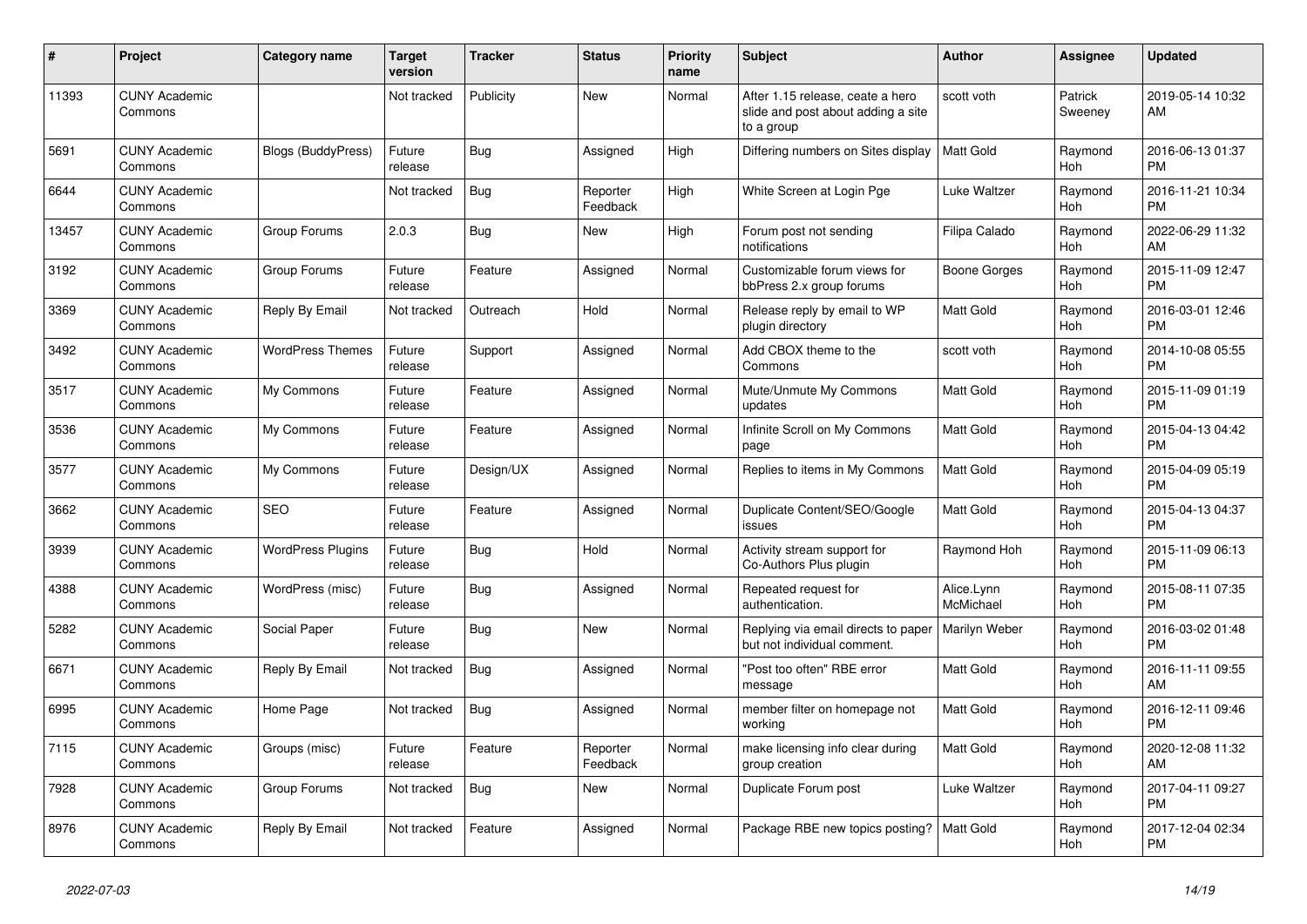| #     | <b>Project</b>                  | <b>Category name</b>      | <b>Target</b><br>version | <b>Tracker</b> | <b>Status</b>        | <b>Priority</b><br>name | <b>Subject</b>                                                                       | <b>Author</b>           | Assignee           | <b>Updated</b>                |
|-------|---------------------------------|---------------------------|--------------------------|----------------|----------------------|-------------------------|--------------------------------------------------------------------------------------|-------------------------|--------------------|-------------------------------|
| 11393 | <b>CUNY Academic</b><br>Commons |                           | Not tracked              | Publicity      | New                  | Normal                  | After 1.15 release, ceate a hero<br>slide and post about adding a site<br>to a group | scott voth              | Patrick<br>Sweeney | 2019-05-14 10:32<br>AM        |
| 5691  | <b>CUNY Academic</b><br>Commons | <b>Blogs (BuddyPress)</b> | Future<br>release        | Bug            | Assigned             | High                    | Differing numbers on Sites display                                                   | <b>Matt Gold</b>        | Raymond<br>Hoh     | 2016-06-13 01:37<br><b>PM</b> |
| 6644  | <b>CUNY Academic</b><br>Commons |                           | Not tracked              | Bug            | Reporter<br>Feedback | High                    | White Screen at Login Pge                                                            | Luke Waltzer            | Raymond<br>Hoh     | 2016-11-21 10:34<br><b>PM</b> |
| 13457 | <b>CUNY Academic</b><br>Commons | Group Forums              | 2.0.3                    | Bug            | <b>New</b>           | High                    | Forum post not sending<br>notifications                                              | Filipa Calado           | Raymond<br>Hoh     | 2022-06-29 11:32<br>AM        |
| 3192  | <b>CUNY Academic</b><br>Commons | Group Forums              | Future<br>release        | Feature        | Assigned             | Normal                  | Customizable forum views for<br>bbPress 2.x group forums                             | Boone Gorges            | Raymond<br>Hoh     | 2015-11-09 12:47<br><b>PM</b> |
| 3369  | <b>CUNY Academic</b><br>Commons | Reply By Email            | Not tracked              | Outreach       | Hold                 | Normal                  | Release reply by email to WP<br>plugin directory                                     | <b>Matt Gold</b>        | Raymond<br>Hoh     | 2016-03-01 12:46<br><b>PM</b> |
| 3492  | <b>CUNY Academic</b><br>Commons | <b>WordPress Themes</b>   | Future<br>release        | Support        | Assigned             | Normal                  | Add CBOX theme to the<br>Commons                                                     | scott voth              | Raymond<br>Hoh     | 2014-10-08 05:55<br><b>PM</b> |
| 3517  | <b>CUNY Academic</b><br>Commons | My Commons                | Future<br>release        | Feature        | Assigned             | Normal                  | Mute/Unmute My Commons<br>updates                                                    | Matt Gold               | Raymond<br>Hoh     | 2015-11-09 01:19<br><b>PM</b> |
| 3536  | <b>CUNY Academic</b><br>Commons | My Commons                | Future<br>release        | Feature        | Assigned             | Normal                  | Infinite Scroll on My Commons<br>page                                                | <b>Matt Gold</b>        | Raymond<br>Hoh     | 2015-04-13 04:42<br><b>PM</b> |
| 3577  | <b>CUNY Academic</b><br>Commons | My Commons                | Future<br>release        | Design/UX      | Assigned             | Normal                  | Replies to items in My Commons                                                       | <b>Matt Gold</b>        | Raymond<br>Hoh     | 2015-04-09 05:19<br><b>PM</b> |
| 3662  | <b>CUNY Academic</b><br>Commons | <b>SEO</b>                | Future<br>release        | Feature        | Assigned             | Normal                  | Duplicate Content/SEO/Google<br>issues                                               | <b>Matt Gold</b>        | Raymond<br>Hoh     | 2015-04-13 04:37<br><b>PM</b> |
| 3939  | <b>CUNY Academic</b><br>Commons | <b>WordPress Plugins</b>  | Future<br>release        | Bug            | Hold                 | Normal                  | Activity stream support for<br>Co-Authors Plus plugin                                | Raymond Hoh             | Raymond<br>Hoh     | 2015-11-09 06:13<br><b>PM</b> |
| 4388  | <b>CUNY Academic</b><br>Commons | WordPress (misc)          | Future<br>release        | Bug            | Assigned             | Normal                  | Repeated request for<br>authentication.                                              | Alice.Lynn<br>McMichael | Raymond<br>Hoh     | 2015-08-11 07:35<br><b>PM</b> |
| 5282  | <b>CUNY Academic</b><br>Commons | Social Paper              | Future<br>release        | Bug            | New                  | Normal                  | Replying via email directs to paper<br>but not individual comment.                   | Marilyn Weber           | Raymond<br>Hoh     | 2016-03-02 01:48<br><b>PM</b> |
| 6671  | <b>CUNY Academic</b><br>Commons | Reply By Email            | Not tracked              | <b>Bug</b>     | Assigned             | Normal                  | "Post too often" RBE error<br>message                                                | <b>Matt Gold</b>        | Raymond<br>Hoh     | 2016-11-11 09:55<br>AM        |
| 6995  | <b>CUNY Academic</b><br>Commons | Home Page                 | Not tracked              | <b>Bug</b>     | Assigned             | Normal                  | member filter on homepage not<br>working                                             | <b>Matt Gold</b>        | Raymond<br>Hoh     | 2016-12-11 09:46<br><b>PM</b> |
| 7115  | <b>CUNY Academic</b><br>Commons | Groups (misc)             | Future<br>release        | Feature        | Reporter<br>Feedback | Normal                  | make licensing info clear during<br>group creation                                   | <b>Matt Gold</b>        | Raymond<br>Hoh     | 2020-12-08 11:32<br>AM        |
| 7928  | <b>CUNY Academic</b><br>Commons | Group Forums              | Not tracked              | <b>Bug</b>     | New                  | Normal                  | Duplicate Forum post                                                                 | Luke Waltzer            | Raymond<br>Hoh     | 2017-04-11 09:27<br><b>PM</b> |
| 8976  | <b>CUNY Academic</b><br>Commons | Reply By Email            | Not tracked              | Feature        | Assigned             | Normal                  | Package RBE new topics posting?                                                      | Matt Gold               | Raymond<br>Hoh     | 2017-12-04 02:34<br><b>PM</b> |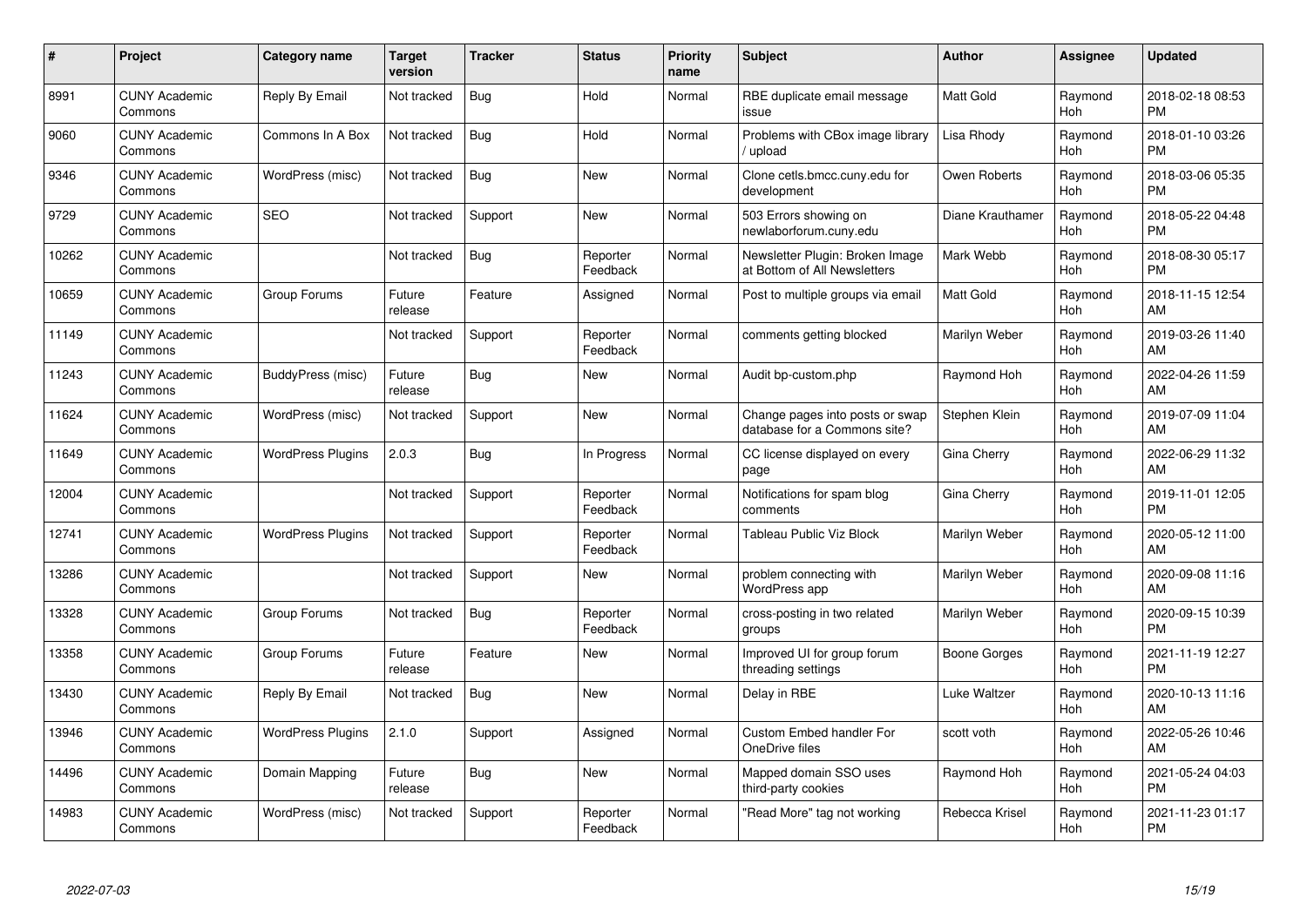| #     | Project                         | <b>Category name</b>     | <b>Target</b><br>version | <b>Tracker</b> | <b>Status</b>        | <b>Priority</b><br>name | <b>Subject</b>                                                  | <b>Author</b>    | <b>Assignee</b> | <b>Updated</b>                |
|-------|---------------------------------|--------------------------|--------------------------|----------------|----------------------|-------------------------|-----------------------------------------------------------------|------------------|-----------------|-------------------------------|
| 8991  | <b>CUNY Academic</b><br>Commons | Reply By Email           | Not tracked              | Bug            | Hold                 | Normal                  | RBE duplicate email message<br>issue                            | <b>Matt Gold</b> | Raymond<br>Hoh  | 2018-02-18 08:53<br><b>PM</b> |
| 9060  | <b>CUNY Academic</b><br>Commons | Commons In A Box         | Not tracked              | Bug            | Hold                 | Normal                  | Problems with CBox image library<br>upload                      | Lisa Rhody       | Raymond<br>Hoh  | 2018-01-10 03:26<br><b>PM</b> |
| 9346  | <b>CUNY Academic</b><br>Commons | WordPress (misc)         | Not tracked              | <b>Bug</b>     | <b>New</b>           | Normal                  | Clone cetls.bmcc.cuny.edu for<br>development                    | Owen Roberts     | Raymond<br>Hoh  | 2018-03-06 05:35<br><b>PM</b> |
| 9729  | <b>CUNY Academic</b><br>Commons | <b>SEO</b>               | Not tracked              | Support        | <b>New</b>           | Normal                  | 503 Errors showing on<br>newlaborforum.cuny.edu                 | Diane Krauthamer | Raymond<br>Hoh  | 2018-05-22 04:48<br><b>PM</b> |
| 10262 | <b>CUNY Academic</b><br>Commons |                          | Not tracked              | Bug            | Reporter<br>Feedback | Normal                  | Newsletter Plugin: Broken Image<br>at Bottom of All Newsletters | Mark Webb        | Raymond<br>Hoh  | 2018-08-30 05:17<br><b>PM</b> |
| 10659 | <b>CUNY Academic</b><br>Commons | Group Forums             | Future<br>release        | Feature        | Assigned             | Normal                  | Post to multiple groups via email                               | <b>Matt Gold</b> | Raymond<br>Hoh  | 2018-11-15 12:54<br>AM        |
| 11149 | <b>CUNY Academic</b><br>Commons |                          | Not tracked              | Support        | Reporter<br>Feedback | Normal                  | comments getting blocked                                        | Marilyn Weber    | Raymond<br>Hoh  | 2019-03-26 11:40<br>AM        |
| 11243 | <b>CUNY Academic</b><br>Commons | BuddyPress (misc)        | Future<br>release        | Bug            | <b>New</b>           | Normal                  | Audit bp-custom.php                                             | Raymond Hoh      | Raymond<br>Hoh  | 2022-04-26 11:59<br>AM        |
| 11624 | <b>CUNY Academic</b><br>Commons | WordPress (misc)         | Not tracked              | Support        | New                  | Normal                  | Change pages into posts or swap<br>database for a Commons site? | Stephen Klein    | Raymond<br>Hoh  | 2019-07-09 11:04<br>AM        |
| 11649 | <b>CUNY Academic</b><br>Commons | <b>WordPress Plugins</b> | 2.0.3                    | <b>Bug</b>     | In Progress          | Normal                  | CC license displayed on every<br>page                           | Gina Cherry      | Raymond<br>Hoh  | 2022-06-29 11:32<br>AM        |
| 12004 | <b>CUNY Academic</b><br>Commons |                          | Not tracked              | Support        | Reporter<br>Feedback | Normal                  | Notifications for spam blog<br>comments                         | Gina Cherry      | Raymond<br>Hoh  | 2019-11-01 12:05<br><b>PM</b> |
| 12741 | <b>CUNY Academic</b><br>Commons | <b>WordPress Plugins</b> | Not tracked              | Support        | Reporter<br>Feedback | Normal                  | <b>Tableau Public Viz Block</b>                                 | Marilyn Weber    | Raymond<br>Hoh  | 2020-05-12 11:00<br>AM        |
| 13286 | <b>CUNY Academic</b><br>Commons |                          | Not tracked              | Support        | New                  | Normal                  | problem connecting with<br><b>WordPress app</b>                 | Marilyn Weber    | Raymond<br>Hoh  | 2020-09-08 11:16<br>AM        |
| 13328 | <b>CUNY Academic</b><br>Commons | Group Forums             | Not tracked              | Bug            | Reporter<br>Feedback | Normal                  | cross-posting in two related<br>groups                          | Marilyn Weber    | Raymond<br>Hoh  | 2020-09-15 10:39<br><b>PM</b> |
| 13358 | <b>CUNY Academic</b><br>Commons | Group Forums             | Future<br>release        | Feature        | New                  | Normal                  | Improved UI for group forum<br>threading settings               | Boone Gorges     | Raymond<br>Hoh  | 2021-11-19 12:27<br><b>PM</b> |
| 13430 | <b>CUNY Academic</b><br>Commons | Reply By Email           | Not tracked              | Bug            | New                  | Normal                  | Delay in RBE                                                    | Luke Waltzer     | Raymond<br>Hoh  | 2020-10-13 11:16<br>AM        |
| 13946 | <b>CUNY Academic</b><br>Commons | <b>WordPress Plugins</b> | 2.1.0                    | Support        | Assigned             | Normal                  | Custom Embed handler For<br>OneDrive files                      | scott voth       | Raymond<br>Hoh  | 2022-05-26 10:46<br>AM        |
| 14496 | <b>CUNY Academic</b><br>Commons | Domain Mapping           | Future<br>release        | Bug            | New                  | Normal                  | Mapped domain SSO uses<br>third-party cookies                   | Raymond Hoh      | Raymond<br>Hoh  | 2021-05-24 04:03<br><b>PM</b> |
| 14983 | <b>CUNY Academic</b><br>Commons | WordPress (misc)         | Not tracked              | Support        | Reporter<br>Feedback | Normal                  | "Read More" tag not working                                     | Rebecca Krisel   | Raymond<br>Hoh  | 2021-11-23 01:17<br><b>PM</b> |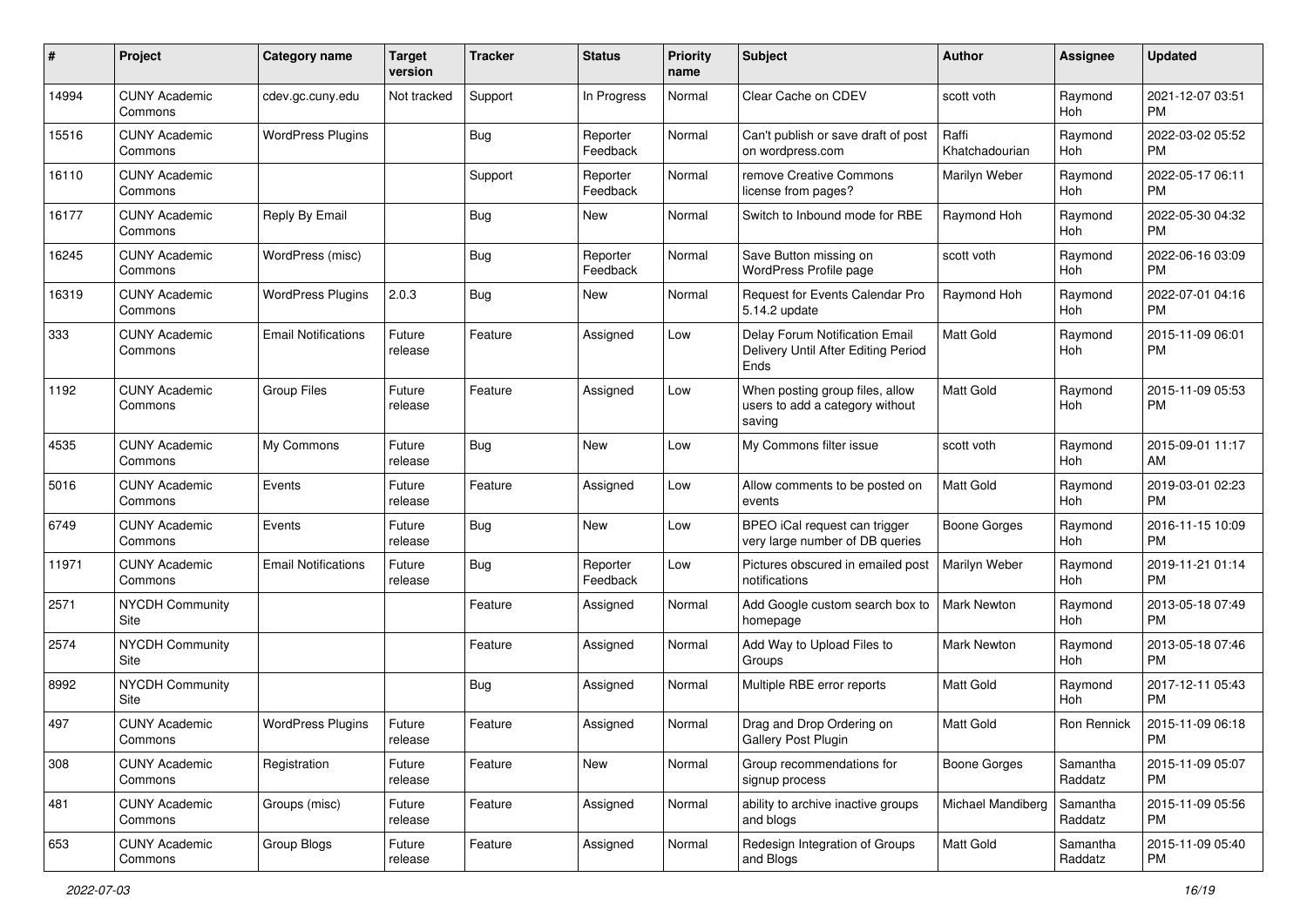| #     | Project                         | <b>Category name</b>       | <b>Target</b><br>version | <b>Tracker</b> | <b>Status</b>        | Priority<br>name | <b>Subject</b>                                                                | Author                  | <b>Assignee</b>     | <b>Updated</b>                |
|-------|---------------------------------|----------------------------|--------------------------|----------------|----------------------|------------------|-------------------------------------------------------------------------------|-------------------------|---------------------|-------------------------------|
| 14994 | <b>CUNY Academic</b><br>Commons | cdev.gc.cuny.edu           | Not tracked              | Support        | In Progress          | Normal           | Clear Cache on CDEV                                                           | scott voth              | Raymond<br>Hoh      | 2021-12-07 03:51<br><b>PM</b> |
| 15516 | <b>CUNY Academic</b><br>Commons | <b>WordPress Plugins</b>   |                          | <b>Bug</b>     | Reporter<br>Feedback | Normal           | Can't publish or save draft of post<br>on wordpress.com                       | Raffi<br>Khatchadourian | Raymond<br>Hoh      | 2022-03-02 05:52<br><b>PM</b> |
| 16110 | <b>CUNY Academic</b><br>Commons |                            |                          | Support        | Reporter<br>Feedback | Normal           | remove Creative Commons<br>license from pages?                                | Marilyn Weber           | Raymond<br>Hoh      | 2022-05-17 06:11<br><b>PM</b> |
| 16177 | <b>CUNY Academic</b><br>Commons | Reply By Email             |                          | Bug            | New                  | Normal           | Switch to Inbound mode for RBE                                                | Raymond Hoh             | Raymond<br>Hoh      | 2022-05-30 04:32<br><b>PM</b> |
| 16245 | <b>CUNY Academic</b><br>Commons | WordPress (misc)           |                          | Bug            | Reporter<br>Feedback | Normal           | Save Button missing on<br>WordPress Profile page                              | scott voth              | Raymond<br>Hoh      | 2022-06-16 03:09<br><b>PM</b> |
| 16319 | <b>CUNY Academic</b><br>Commons | <b>WordPress Plugins</b>   | 2.0.3                    | Bug            | New                  | Normal           | Request for Events Calendar Pro<br>5.14.2 update                              | Raymond Hoh             | Raymond<br>Hoh      | 2022-07-01 04:16<br><b>PM</b> |
| 333   | <b>CUNY Academic</b><br>Commons | <b>Email Notifications</b> | Future<br>release        | Feature        | Assigned             | Low              | Delay Forum Notification Email<br>Delivery Until After Editing Period<br>Ends | <b>Matt Gold</b>        | Raymond<br>Hoh      | 2015-11-09 06:01<br><b>PM</b> |
| 1192  | <b>CUNY Academic</b><br>Commons | <b>Group Files</b>         | Future<br>release        | Feature        | Assigned             | Low              | When posting group files, allow<br>users to add a category without<br>saving  | Matt Gold               | Raymond<br>Hoh      | 2015-11-09 05:53<br><b>PM</b> |
| 4535  | <b>CUNY Academic</b><br>Commons | My Commons                 | Future<br>release        | Bug            | <b>New</b>           | Low              | My Commons filter issue                                                       | scott voth              | Raymond<br>Hoh      | 2015-09-01 11:17<br>AM        |
| 5016  | <b>CUNY Academic</b><br>Commons | Events                     | Future<br>release        | Feature        | Assigned             | Low              | Allow comments to be posted on<br>events                                      | <b>Matt Gold</b>        | Raymond<br>Hoh      | 2019-03-01 02:23<br><b>PM</b> |
| 6749  | <b>CUNY Academic</b><br>Commons | Events                     | Future<br>release        | Bug            | New                  | Low              | BPEO iCal request can trigger<br>very large number of DB queries              | <b>Boone Gorges</b>     | Raymond<br>Hoh      | 2016-11-15 10:09<br><b>PM</b> |
| 11971 | <b>CUNY Academic</b><br>Commons | <b>Email Notifications</b> | Future<br>release        | <b>Bug</b>     | Reporter<br>Feedback | Low              | Pictures obscured in emailed post<br>notifications                            | Marilyn Weber           | Raymond<br>Hoh      | 2019-11-21 01:14<br><b>PM</b> |
| 2571  | <b>NYCDH Community</b><br>Site  |                            |                          | Feature        | Assigned             | Normal           | Add Google custom search box to<br>homepage                                   | Mark Newton             | Raymond<br>Hoh      | 2013-05-18 07:49<br><b>PM</b> |
| 2574  | <b>NYCDH Community</b><br>Site  |                            |                          | Feature        | Assigned             | Normal           | Add Way to Upload Files to<br>Groups                                          | Mark Newton             | Raymond<br>Hoh      | 2013-05-18 07:46<br><b>PM</b> |
| 8992  | <b>NYCDH Community</b><br>Site  |                            |                          | Bug            | Assigned             | Normal           | Multiple RBE error reports                                                    | <b>Matt Gold</b>        | Raymond<br>Hoh      | 2017-12-11 05:43<br><b>PM</b> |
| 497   | <b>CUNY Academic</b><br>Commons | <b>WordPress Plugins</b>   | Future<br>release        | Feature        | Assigned             | Normal           | Drag and Drop Ordering on<br>Gallery Post Plugin                              | Matt Gold               | Ron Rennick         | 2015-11-09 06:18<br>PM        |
| 308   | <b>CUNY Academic</b><br>Commons | Registration               | Future<br>release        | Feature        | New                  | Normal           | Group recommendations for<br>signup process                                   | <b>Boone Gorges</b>     | Samantha<br>Raddatz | 2015-11-09 05:07<br><b>PM</b> |
| 481   | <b>CUNY Academic</b><br>Commons | Groups (misc)              | Future<br>release        | Feature        | Assigned             | Normal           | ability to archive inactive groups<br>and blogs                               | Michael Mandiberg       | Samantha<br>Raddatz | 2015-11-09 05:56<br><b>PM</b> |
| 653   | <b>CUNY Academic</b><br>Commons | Group Blogs                | Future<br>release        | Feature        | Assigned             | Normal           | Redesign Integration of Groups<br>and Blogs                                   | Matt Gold               | Samantha<br>Raddatz | 2015-11-09 05:40<br><b>PM</b> |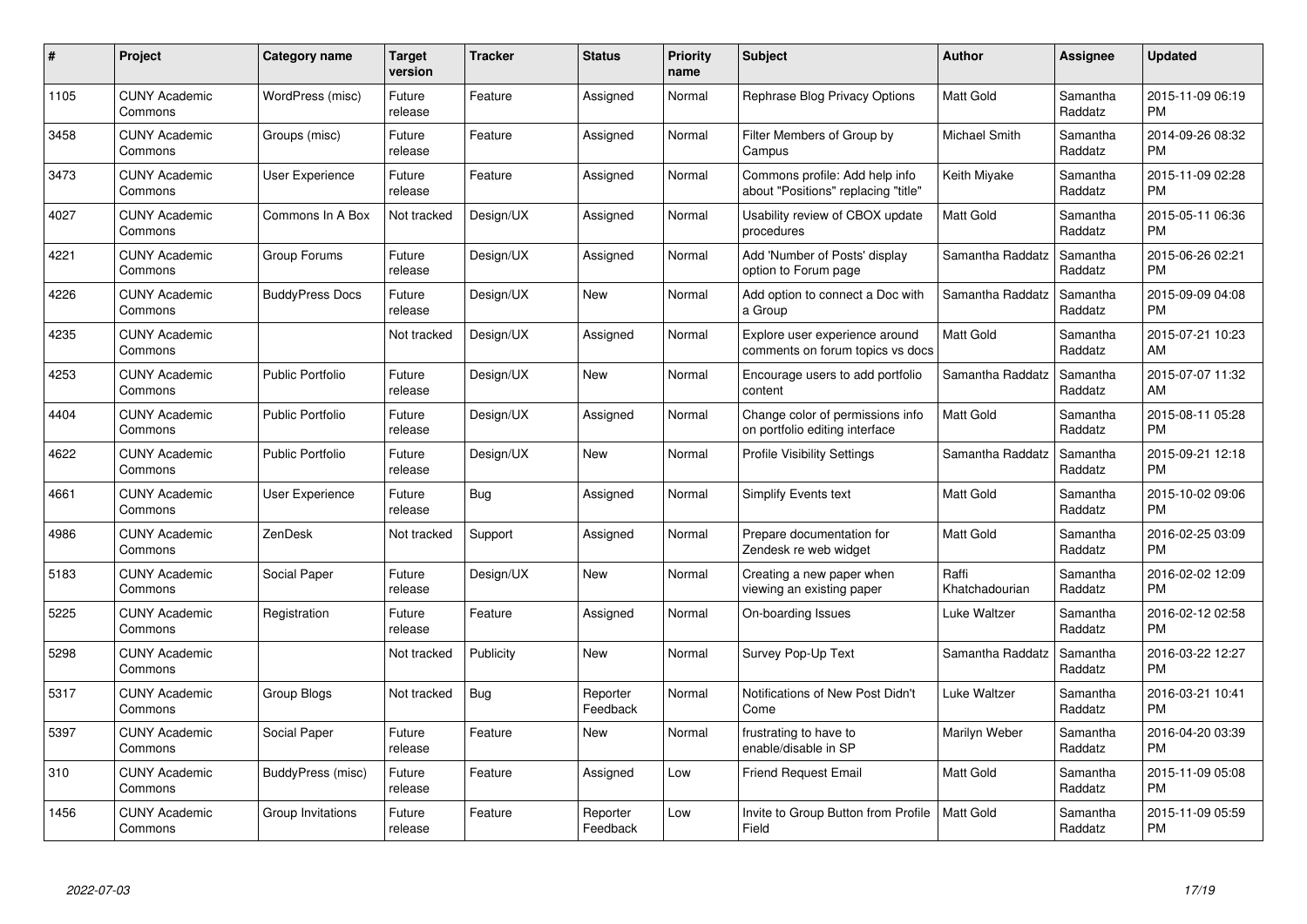| $\#$ | Project                         | <b>Category name</b>    | <b>Target</b><br>version | <b>Tracker</b> | <b>Status</b>        | <b>Priority</b><br>name | <b>Subject</b>                                                        | <b>Author</b>           | Assignee            | <b>Updated</b>                |
|------|---------------------------------|-------------------------|--------------------------|----------------|----------------------|-------------------------|-----------------------------------------------------------------------|-------------------------|---------------------|-------------------------------|
| 1105 | <b>CUNY Academic</b><br>Commons | WordPress (misc)        | Future<br>release        | Feature        | Assigned             | Normal                  | Rephrase Blog Privacy Options                                         | <b>Matt Gold</b>        | Samantha<br>Raddatz | 2015-11-09 06:19<br><b>PM</b> |
| 3458 | <b>CUNY Academic</b><br>Commons | Groups (misc)           | Future<br>release        | Feature        | Assigned             | Normal                  | Filter Members of Group by<br>Campus                                  | Michael Smith           | Samantha<br>Raddatz | 2014-09-26 08:32<br><b>PM</b> |
| 3473 | <b>CUNY Academic</b><br>Commons | User Experience         | Future<br>release        | Feature        | Assigned             | Normal                  | Commons profile: Add help info<br>about "Positions" replacing "title" | Keith Miyake            | Samantha<br>Raddatz | 2015-11-09 02:28<br><b>PM</b> |
| 4027 | <b>CUNY Academic</b><br>Commons | Commons In A Box        | Not tracked              | Design/UX      | Assigned             | Normal                  | Usability review of CBOX update<br>procedures                         | Matt Gold               | Samantha<br>Raddatz | 2015-05-11 06:36<br><b>PM</b> |
| 4221 | <b>CUNY Academic</b><br>Commons | Group Forums            | Future<br>release        | Design/UX      | Assigned             | Normal                  | Add 'Number of Posts' display<br>option to Forum page                 | Samantha Raddatz        | Samantha<br>Raddatz | 2015-06-26 02:21<br><b>PM</b> |
| 4226 | <b>CUNY Academic</b><br>Commons | <b>BuddyPress Docs</b>  | Future<br>release        | Design/UX      | <b>New</b>           | Normal                  | Add option to connect a Doc with<br>a Group                           | Samantha Raddatz        | Samantha<br>Raddatz | 2015-09-09 04:08<br><b>PM</b> |
| 4235 | <b>CUNY Academic</b><br>Commons |                         | Not tracked              | Design/UX      | Assigned             | Normal                  | Explore user experience around<br>comments on forum topics vs docs    | Matt Gold               | Samantha<br>Raddatz | 2015-07-21 10:23<br>AM        |
| 4253 | <b>CUNY Academic</b><br>Commons | <b>Public Portfolio</b> | Future<br>release        | Design/UX      | <b>New</b>           | Normal                  | Encourage users to add portfolio<br>content                           | Samantha Raddatz        | Samantha<br>Raddatz | 2015-07-07 11:32<br>AM        |
| 4404 | <b>CUNY Academic</b><br>Commons | <b>Public Portfolio</b> | Future<br>release        | Design/UX      | Assigned             | Normal                  | Change color of permissions info<br>on portfolio editing interface    | <b>Matt Gold</b>        | Samantha<br>Raddatz | 2015-08-11 05:28<br><b>PM</b> |
| 4622 | <b>CUNY Academic</b><br>Commons | <b>Public Portfolio</b> | Future<br>release        | Design/UX      | <b>New</b>           | Normal                  | <b>Profile Visibility Settings</b>                                    | Samantha Raddatz        | Samantha<br>Raddatz | 2015-09-21 12:18<br><b>PM</b> |
| 4661 | <b>CUNY Academic</b><br>Commons | <b>User Experience</b>  | Future<br>release        | Bug            | Assigned             | Normal                  | Simplify Events text                                                  | Matt Gold               | Samantha<br>Raddatz | 2015-10-02 09:06<br><b>PM</b> |
| 4986 | <b>CUNY Academic</b><br>Commons | ZenDesk                 | Not tracked              | Support        | Assigned             | Normal                  | Prepare documentation for<br>Zendesk re web widget                    | Matt Gold               | Samantha<br>Raddatz | 2016-02-25 03:09<br><b>PM</b> |
| 5183 | <b>CUNY Academic</b><br>Commons | Social Paper            | Future<br>release        | Design/UX      | New                  | Normal                  | Creating a new paper when<br>viewing an existing paper                | Raffi<br>Khatchadourian | Samantha<br>Raddatz | 2016-02-02 12:09<br><b>PM</b> |
| 5225 | <b>CUNY Academic</b><br>Commons | Registration            | Future<br>release        | Feature        | Assigned             | Normal                  | On-boarding Issues                                                    | Luke Waltzer            | Samantha<br>Raddatz | 2016-02-12 02:58<br><b>PM</b> |
| 5298 | <b>CUNY Academic</b><br>Commons |                         | Not tracked              | Publicity      | New                  | Normal                  | Survey Pop-Up Text                                                    | Samantha Raddatz        | Samantha<br>Raddatz | 2016-03-22 12:27<br><b>PM</b> |
| 5317 | <b>CUNY Academic</b><br>Commons | Group Blogs             | Not tracked              | Bug            | Reporter<br>Feedback | Normal                  | Notifications of New Post Didn't<br>Come                              | Luke Waltzer            | Samantha<br>Raddatz | 2016-03-21 10:41<br><b>PM</b> |
| 5397 | <b>CUNY Academic</b><br>Commons | Social Paper            | Future<br>release        | Feature        | New                  | Normal                  | frustrating to have to<br>enable/disable in SP                        | Marilyn Weber           | Samantha<br>Raddatz | 2016-04-20 03:39<br><b>PM</b> |
| 310  | <b>CUNY Academic</b><br>Commons | BuddyPress (misc)       | Future<br>release        | Feature        | Assigned             | Low                     | <b>Friend Request Email</b>                                           | Matt Gold               | Samantha<br>Raddatz | 2015-11-09 05:08<br><b>PM</b> |
| 1456 | <b>CUNY Academic</b><br>Commons | Group Invitations       | Future<br>release        | Feature        | Reporter<br>Feedback | Low                     | Invite to Group Button from Profile<br>Field                          | <b>Matt Gold</b>        | Samantha<br>Raddatz | 2015-11-09 05:59<br><b>PM</b> |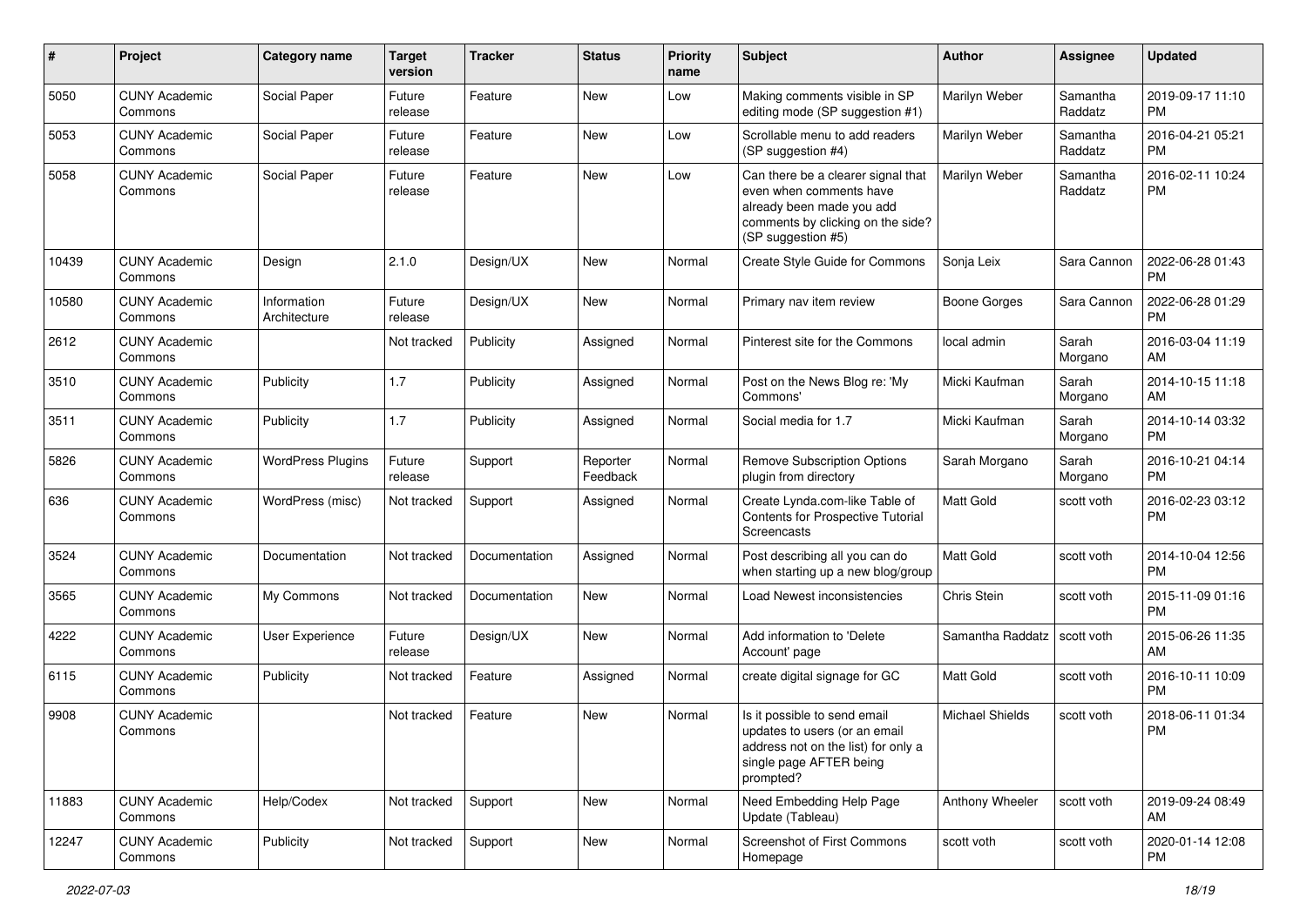| #     | Project                         | Category name               | <b>Target</b><br>version | <b>Tracker</b> | <b>Status</b>        | <b>Priority</b><br>name | Subject                                                                                                                                               | Author                 | Assignee            | <b>Updated</b>                |
|-------|---------------------------------|-----------------------------|--------------------------|----------------|----------------------|-------------------------|-------------------------------------------------------------------------------------------------------------------------------------------------------|------------------------|---------------------|-------------------------------|
| 5050  | <b>CUNY Academic</b><br>Commons | Social Paper                | Future<br>release        | Feature        | <b>New</b>           | Low                     | Making comments visible in SP<br>editing mode (SP suggestion #1)                                                                                      | Marilyn Weber          | Samantha<br>Raddatz | 2019-09-17 11:10<br><b>PM</b> |
| 5053  | <b>CUNY Academic</b><br>Commons | Social Paper                | Future<br>release        | Feature        | New                  | Low                     | Scrollable menu to add readers<br>(SP suggestion #4)                                                                                                  | Marilyn Weber          | Samantha<br>Raddatz | 2016-04-21 05:21<br><b>PM</b> |
| 5058  | <b>CUNY Academic</b><br>Commons | Social Paper                | Future<br>release        | Feature        | <b>New</b>           | Low                     | Can there be a clearer signal that<br>even when comments have<br>already been made you add<br>comments by clicking on the side?<br>(SP suggestion #5) | Marilyn Weber          | Samantha<br>Raddatz | 2016-02-11 10:24<br><b>PM</b> |
| 10439 | <b>CUNY Academic</b><br>Commons | Design                      | 2.1.0                    | Design/UX      | <b>New</b>           | Normal                  | Create Style Guide for Commons                                                                                                                        | Sonja Leix             | Sara Cannon         | 2022-06-28 01:43<br>PM        |
| 10580 | <b>CUNY Academic</b><br>Commons | Information<br>Architecture | Future<br>release        | Design/UX      | New                  | Normal                  | Primary nav item review                                                                                                                               | Boone Gorges           | Sara Cannon         | 2022-06-28 01:29<br><b>PM</b> |
| 2612  | <b>CUNY Academic</b><br>Commons |                             | Not tracked              | Publicity      | Assigned             | Normal                  | Pinterest site for the Commons                                                                                                                        | local admin            | Sarah<br>Morgano    | 2016-03-04 11:19<br>AM        |
| 3510  | <b>CUNY Academic</b><br>Commons | Publicity                   | 1.7                      | Publicity      | Assigned             | Normal                  | Post on the News Blog re: 'My<br>Commons'                                                                                                             | Micki Kaufman          | Sarah<br>Morgano    | 2014-10-15 11:18<br>AM        |
| 3511  | <b>CUNY Academic</b><br>Commons | Publicity                   | 1.7                      | Publicity      | Assigned             | Normal                  | Social media for 1.7                                                                                                                                  | Micki Kaufman          | Sarah<br>Morgano    | 2014-10-14 03:32<br><b>PM</b> |
| 5826  | <b>CUNY Academic</b><br>Commons | <b>WordPress Plugins</b>    | Future<br>release        | Support        | Reporter<br>Feedback | Normal                  | <b>Remove Subscription Options</b><br>plugin from directory                                                                                           | Sarah Morgano          | Sarah<br>Morgano    | 2016-10-21 04:14<br><b>PM</b> |
| 636   | <b>CUNY Academic</b><br>Commons | WordPress (misc)            | Not tracked              | Support        | Assigned             | Normal                  | Create Lynda.com-like Table of<br>Contents for Prospective Tutorial<br>Screencasts                                                                    | Matt Gold              | scott voth          | 2016-02-23 03:12<br><b>PM</b> |
| 3524  | <b>CUNY Academic</b><br>Commons | Documentation               | Not tracked              | Documentation  | Assigned             | Normal                  | Post describing all you can do<br>when starting up a new blog/group                                                                                   | Matt Gold              | scott voth          | 2014-10-04 12:56<br><b>PM</b> |
| 3565  | <b>CUNY Academic</b><br>Commons | My Commons                  | Not tracked              | Documentation  | <b>New</b>           | Normal                  | Load Newest inconsistencies                                                                                                                           | Chris Stein            | scott voth          | 2015-11-09 01:16<br><b>PM</b> |
| 4222  | <b>CUNY Academic</b><br>Commons | User Experience             | Future<br>release        | Design/UX      | <b>New</b>           | Normal                  | Add information to 'Delete<br>Account' page                                                                                                           | Samantha Raddatz       | scott voth          | 2015-06-26 11:35<br>AM        |
| 6115  | <b>CUNY Academic</b><br>Commons | Publicity                   | Not tracked              | Feature        | Assigned             | Normal                  | create digital signage for GC                                                                                                                         | Matt Gold              | scott voth          | 2016-10-11 10:09<br><b>PM</b> |
| 9908  | <b>CUNY Academic</b><br>Commons |                             | Not tracked              | Feature        | <b>New</b>           | Normal                  | Is it possible to send email<br>updates to users (or an email<br>address not on the list) for only a<br>single page AFTER being<br>prompted?          | <b>Michael Shields</b> | scott voth          | 2018-06-11 01:34<br><b>PM</b> |
| 11883 | <b>CUNY Academic</b><br>Commons | Help/Codex                  | Not tracked              | Support        | New                  | Normal                  | Need Embedding Help Page<br>Update (Tableau)                                                                                                          | Anthony Wheeler        | scott voth          | 2019-09-24 08:49<br>AM        |
| 12247 | <b>CUNY Academic</b><br>Commons | Publicity                   | Not tracked              | Support        | New                  | Normal                  | Screenshot of First Commons<br>Homepage                                                                                                               | scott voth             | scott voth          | 2020-01-14 12:08<br>PM        |